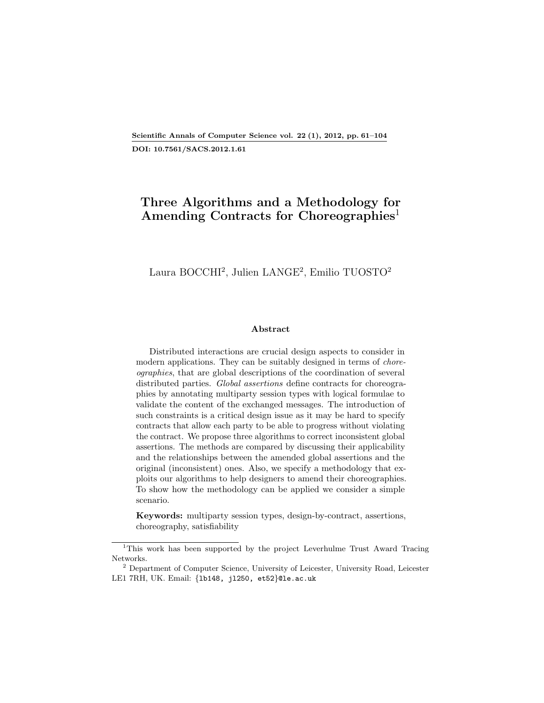## Scientific Annals of Computer Science vol. 22 (1), 2012, pp. 61[–104](#page-43-0) DOI: 10.7561/SACS.2012.1.61

# Three Algorithms and a Methodology for Amending Contracts for Choreographies<sup>[1](#page-0-0)</sup>

## Laura BOCCHI[2](#page-0-1) , Julien LANGE<sup>2</sup> , Emilio TUOSTO<sup>2</sup>

#### Abstract

Distributed interactions are crucial design aspects to consider in modern applications. They can be suitably designed in terms of *chore*ographies, that are global descriptions of the coordination of several distributed parties. Global assertions define contracts for choreographies by annotating multiparty session types with logical formulae to validate the content of the exchanged messages. The introduction of such constraints is a critical design issue as it may be hard to specify contracts that allow each party to be able to progress without violating the contract. We propose three algorithms to correct inconsistent global assertions. The methods are compared by discussing their applicability and the relationships between the amended global assertions and the original (inconsistent) ones. Also, we specify a methodology that exploits our algorithms to help designers to amend their choreographies. To show how the methodology can be applied we consider a simple scenario.

Keywords: multiparty session types, design-by-contract, assertions, choreography, satisfiability

<span id="page-0-0"></span><sup>&</sup>lt;sup>1</sup>This work has been supported by the project Leverhulme Trust Award Tracing Networks.

<span id="page-0-1"></span><sup>&</sup>lt;sup>2</sup> Department of Computer Science, University of Leicester, University Road, Leicester LE1 7RH, UK. Email: {lb148, jl250, et52}@le.ac.uk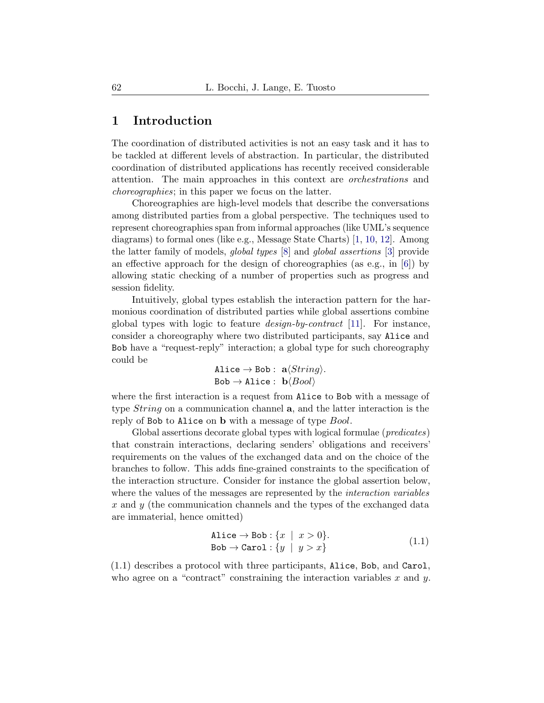## 1 Introduction

The coordination of distributed activities is not an easy task and it has to be tackled at different levels of abstraction. In particular, the distributed coordination of distributed applications has recently received considerable attention. The main approaches in this context are orchestrations and choreographies; in this paper we focus on the latter.

Choreographies are high-level models that describe the conversations among distributed parties from a global perspective. The techniques used to represent choreographies span from informal approaches (like UML's sequence diagrams) to formal ones (like e.g., Message State Charts) [\[1,](#page-42-0) [10,](#page-43-2) [12\]](#page-43-3). Among the latter family of models, global types [\[8\]](#page-42-1) and global assertions [\[3\]](#page-42-2) provide an effective approach for the design of choreographies (as e.g., in [\[6\]](#page-42-3)) by allowing static checking of a number of properties such as progress and session fidelity.

Intuitively, global types establish the interaction pattern for the harmonious coordination of distributed parties while global assertions combine global types with logic to feature design-by-contract [\[11\]](#page-43-4). For instance, consider a choreography where two distributed participants, say Alice and Bob have a "request-reply" interaction; a global type for such choreography could be

> Alice  $\rightarrow$  Bob :  $a\langle String \rangle$ .  $Bob \rightarrow Alice : b\langle Bool \rangle$

where the first interaction is a request from Alice to Bob with a message of type *String* on a communication channel **a**, and the latter interaction is the reply of Bob to Alice on **b** with a message of type *Bool*.

Global assertions decorate global types with logical formulae (*predicates*) that constrain interactions, declaring senders' obligations and receivers' requirements on the values of the exchanged data and on the choice of the branches to follow. This adds fine-grained constraints to the specification of the interaction structure. Consider for instance the global assertion below, where the values of the messages are represented by the *interaction variables* x and y (the communication channels and the types of the exchanged data are immaterial, hence omitted)

<span id="page-1-0"></span>
$$
\begin{array}{ll}\n\text{Alice} \rightarrow \text{Bob}: \{x \mid x > 0\}. \\
\text{Bob} \rightarrow \text{Carol}: \{y \mid y > x\}\n\end{array} \tag{1.1}
$$

[\(1.1\)](#page-1-0) describes a protocol with three participants, Alice, Bob, and Carol, who agree on a "contract" constraining the interaction variables  $x$  and  $y$ .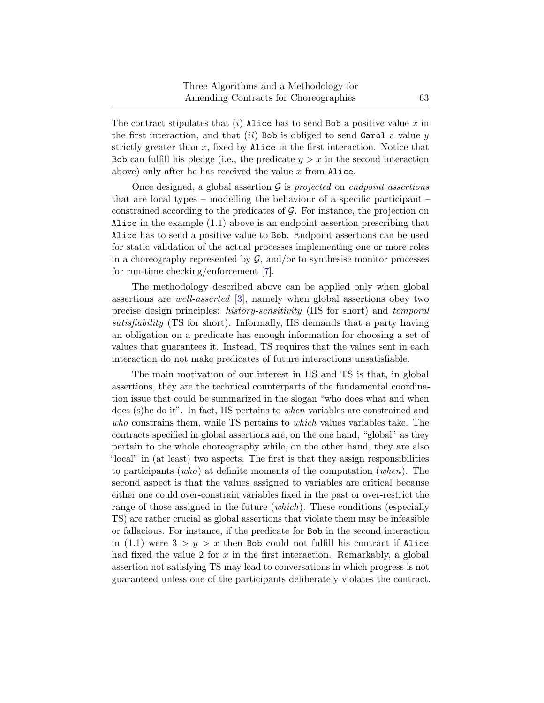The contract stipulates that  $(i)$  Alice has to send Bob a positive value x in the first interaction, and that  $(ii)$  Bob is obliged to send Carol a value y strictly greater than  $x$ , fixed by Alice in the first interaction. Notice that Bob can fulfill his pledge (i.e., the predicate  $y > x$  in the second interaction above) only after he has received the value  $x$  from Alice.

Once designed, a global assertion  $\mathcal G$  is projected on endpoint assertions that are local types – modelling the behaviour of a specific participant – constrained according to the predicates of  $G$ . For instance, the projection on Alice in the example [\(1.1\)](#page-1-0) above is an endpoint assertion prescribing that Alice has to send a positive value to Bob. Endpoint assertions can be used for static validation of the actual processes implementing one or more roles in a choreography represented by  $\mathcal{G}$ , and/or to synthesise monitor processes for run-time checking/enforcement [\[7\]](#page-42-4).

The methodology described above can be applied only when global assertions are well-asserted [\[3\]](#page-42-2), namely when global assertions obey two precise design principles: history-sensitivity (HS for short) and temporal satisfiability (TS for short). Informally, HS demands that a party having an obligation on a predicate has enough information for choosing a set of values that guarantees it. Instead, TS requires that the values sent in each interaction do not make predicates of future interactions unsatisfiable.

The main motivation of our interest in HS and TS is that, in global assertions, they are the technical counterparts of the fundamental coordination issue that could be summarized in the slogan "who does what and when does (s)he do it". In fact, HS pertains to when variables are constrained and who constrains them, while TS pertains to which values variables take. The contracts specified in global assertions are, on the one hand, "global" as they pertain to the whole choreography while, on the other hand, they are also "local" in (at least) two aspects. The first is that they assign responsibilities to participants (who) at definite moments of the computation (when). The second aspect is that the values assigned to variables are critical because either one could over-constrain variables fixed in the past or over-restrict the range of those assigned in the future *(which)*. These conditions *(especially*) TS) are rather crucial as global assertions that violate them may be infeasible or fallacious. For instance, if the predicate for Bob in the second interaction in [\(1.1\)](#page-1-0) were  $3 > y > x$  then Bob could not fulfill his contract if Alice had fixed the value 2 for x in the first interaction. Remarkably, a global assertion not satisfying TS may lead to conversations in which progress is not guaranteed unless one of the participants deliberately violates the contract.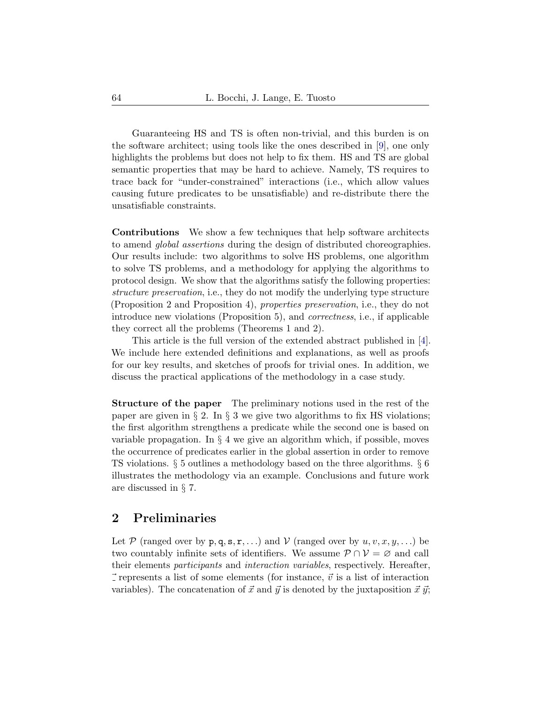Guaranteeing HS and TS is often non-trivial, and this burden is on the software architect; using tools like the ones described in [\[9\]](#page-42-5), one only highlights the problems but does not help to fix them. HS and TS are global semantic properties that may be hard to achieve. Namely, TS requires to trace back for "under-constrained" interactions (i.e., which allow values causing future predicates to be unsatisfiable) and re-distribute there the unsatisfiable constraints.

Contributions We show a few techniques that help software architects to amend global assertions during the design of distributed choreographies. Our results include: two algorithms to solve HS problems, one algorithm to solve TS problems, and a methodology for applying the algorithms to protocol design. We show that the algorithms satisfy the following properties: structure preservation, i.e., they do not modify the underlying type structure (Proposition [2](#page-18-0) and Proposition [4\)](#page-29-0), properties preservation, i.e., they do not introduce new violations (Proposition [5\)](#page-29-1), and correctness, i.e., if applicable they correct all the problems (Theorems [1](#page-21-0) and [2\)](#page-32-0).

This article is the full version of the extended abstract published in [\[4\]](#page-42-6). We include here extended definitions and explanations, as well as proofs for our key results, and sketches of proofs for trivial ones. In addition, we discuss the practical applications of the methodology in a case study.

Structure of the paper The preliminary notions used in the rest of the paper are given in  $\S 2$ . In  $\S 3$  $\S 3$  we give two algorithms to fix HS violations; the first algorithm strengthens a predicate while the second one is based on variable propagation. In § [4](#page-21-1) we give an algorithm which, if possible, moves the occurrence of predicates earlier in the global assertion in order to remove TS violations. § [5](#page-34-0) outlines a methodology based on the three algorithms. § [6](#page-38-0) illustrates the methodology via an example. Conclusions and future work are discussed in § [7.](#page-41-0)

## <span id="page-3-0"></span>2 Preliminaries

Let P (ranged over by  $p, q, s, r, ...$ ) and V (ranged over by  $u, v, x, y, ...$ ) be two countably infinite sets of identifiers. We assume  $P \cap V = \emptyset$  and call their elements participants and interaction variables, respectively. Hereafter,  $\vec{\tau}$  represents a list of some elements (for instance,  $\vec{v}$  is a list of interaction variables). The concatenation of  $\vec{x}$  and  $\vec{y}$  is denoted by the juxtaposition  $\vec{x}$   $\vec{y}$ ;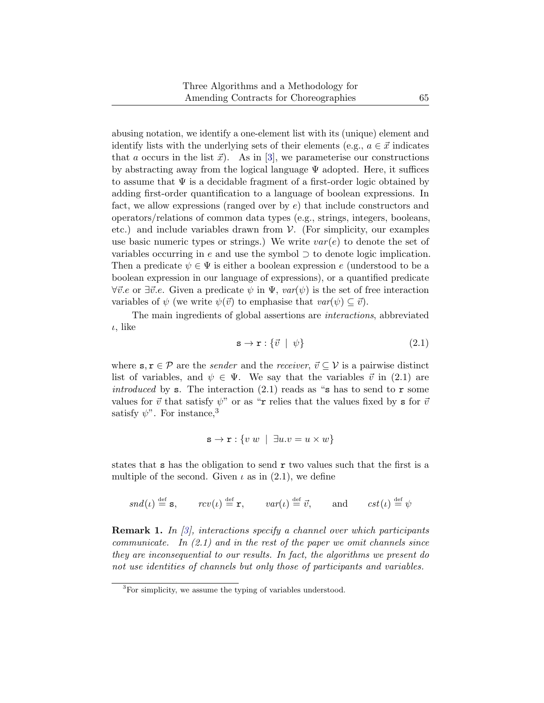abusing notation, we identify a one-element list with its (unique) element and identify lists with the underlying sets of their elements (e.g.,  $a \in \vec{x}$  indicates that a occurs in the list  $\vec{x}$ ). As in [\[3\]](#page-42-2), we parameterise our constructions by abstracting away from the logical language  $\Psi$  adopted. Here, it suffices to assume that  $\Psi$  is a decidable fragment of a first-order logic obtained by adding first-order quantification to a language of boolean expressions. In fact, we allow expressions (ranged over by  $e$ ) that include constructors and operators/relations of common data types (e.g., strings, integers, booleans, etc.) and include variables drawn from  $V$ . (For simplicity, our examples use basic numeric types or strings.) We write  $var(e)$  to denote the set of variables occurring in e and use the symbol  $\supset$  to denote logic implication. Then a predicate  $\psi \in \Psi$  is either a boolean expression e (understood to be a boolean expression in our language of expressions), or a quantified predicate  $\forall \vec{v}.e$  or  $\exists \vec{v}.e$ . Given a predicate  $\psi$  in  $\Psi$ ,  $var(\psi)$  is the set of free interaction variables of  $\psi$  (we write  $\psi(\vec{v})$  to emphasise that  $var(\psi) \subseteq \vec{v}$ ).

<span id="page-4-0"></span>The main ingredients of global assertions are interactions, abbreviated  $\iota$ , like

$$
\mathbf{s} \to \mathbf{r} : \{ \vec{v} \mid \psi \} \tag{2.1}
$$

where  $s, r \in \mathcal{P}$  are the *sender* and the *receiver*,  $\vec{v} \subseteq \mathcal{V}$  is a pairwise distinct list of variables, and  $\psi \in \Psi$ . We say that the variables  $\vec{v}$  in [\(2.1\)](#page-4-0) are introduced by s. The interaction  $(2.1)$  reads as "s has to send to r some values for  $\vec{v}$  that satisfy  $\psi$ " or as "r relies that the values fixed by s for  $\vec{v}$ satisfy  $\psi$ ". For instance,<sup>[3](#page-4-1)</sup>

$$
\mathbf{s} \to \mathbf{r} : \{ v \ w \ | \ \exists u. v = u \times w \}
$$

states that s has the obligation to send r two values such that the first is a multiple of the second. Given  $\iota$  as in [\(2.1\)](#page-4-0), we define

$$
snd(\iota) \stackrel{\text{def}}{=} s
$$
,  $rcv(\iota) \stackrel{\text{def}}{=} r$ ,  $var(\iota) \stackrel{\text{def}}{=} \vec{v}$ , and  $cst(\iota) \stackrel{\text{def}}{=} \psi$ 

**Remark 1.** In [\[3\]](#page-42-2), interactions specify a channel over which participants communicate. In  $(2.1)$  and in the rest of the paper we omit channels since they are inconsequential to our results. In fact, the algorithms we present do not use identities of channels but only those of participants and variables.

<span id="page-4-1"></span><sup>&</sup>lt;sup>3</sup>For simplicity, we assume the typing of variables understood.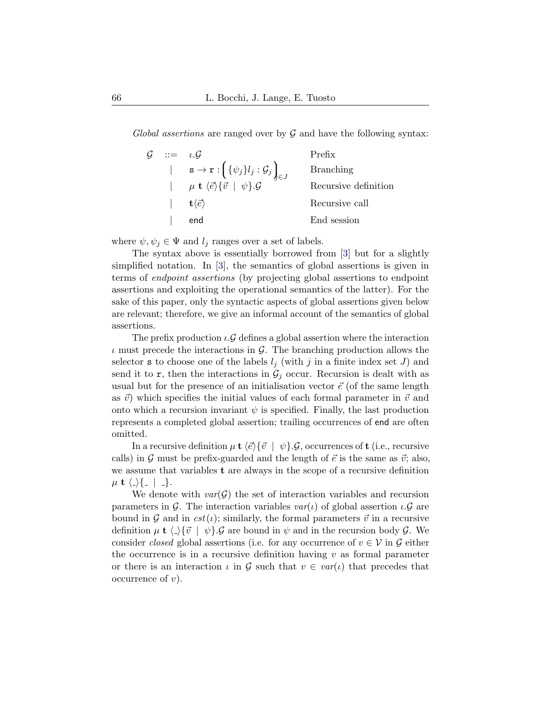Global assertions are ranged over by  $\mathcal G$  and have the following syntax:

| $\mathcal{G}$ ::= $\iota \mathcal{G}$ |                                                                                                                                                                                                              | Prefix               |
|---------------------------------------|--------------------------------------------------------------------------------------------------------------------------------------------------------------------------------------------------------------|----------------------|
|                                       | $\begin{array}{cc}   & \mathbf{s} \to \mathbf{r} : \left( {\{\psi_j\}} l_j : \mathcal{G}_j \right)_{j \in J} \\   & \mu \mathbf{t} \langle \vec{e} \rangle \{ \vec{v} \mid \psi \}. \mathcal{G} \end{array}$ | <b>Branching</b>     |
|                                       |                                                                                                                                                                                                              | Recursive definition |
|                                       | $\mathbf{t}\langle \vec{e} \rangle$                                                                                                                                                                          | Recursive call       |
|                                       | end                                                                                                                                                                                                          | End session          |

where  $\psi, \psi_j \in \Psi$  and  $l_j$  ranges over a set of labels.

The syntax above is essentially borrowed from [\[3\]](#page-42-2) but for a slightly simplified notation. In [\[3\]](#page-42-2), the semantics of global assertions is given in terms of endpoint assertions (by projecting global assertions to endpoint assertions and exploiting the operational semantics of the latter). For the sake of this paper, only the syntactic aspects of global assertions given below are relevant; therefore, we give an informal account of the semantics of global assertions.

The prefix production  $\iota \mathcal{G}$  defines a global assertion where the interaction  $\iota$  must precede the interactions in  $\mathcal{G}$ . The branching production allows the selector **s** to choose one of the labels  $l_i$  (with j in a finite index set J) and send it to  $\mathbf{r}$ , then the interactions in  $\mathcal{G}_j$  occur. Recursion is dealt with as usual but for the presence of an initialisation vector  $\vec{e}$  (of the same length as  $\vec{v}$ ) which specifies the initial values of each formal parameter in  $\vec{v}$  and onto which a recursion invariant  $\psi$  is specified. Finally, the last production represents a completed global assertion; trailing occurrences of end are often omitted.

In a recursive definition  $\mu$  **t**  $\langle \vec{e} \rangle \{ \vec{v} \mid \psi \} . \mathcal{G}$ , occurrences of **t** (i.e., recursive calls) in G must be prefix-guarded and the length of  $\vec{e}$  is the same as  $\vec{v}$ ; also, we assume that variables t are always in the scope of a recursive definition  $\mu$  t  $\langle \_ \rangle \{$  |  $\_$  }.

We denote with  $var(\mathcal{G})$  the set of interaction variables and recursion parameters in G. The interaction variables  $var(\iota)$  of global assertion  $\iota \mathcal{G}$  are bound in G and in  $cst(\iota)$ ; similarly, the formal parameters  $\vec{v}$  in a recursive definition  $\mu$  **t**  $\langle \cdot \rangle \{ \vec{v} \mid \psi \}$ . G are bound in  $\psi$  and in the recursion body G. We consider closed global assertions (i.e. for any occurrence of  $v \in V$  in  $\mathcal G$  either the occurrence is in a recursive definition having  $v$  as formal parameter or there is an interaction  $\iota$  in  $\mathcal G$  such that  $v \in \iota \iota$  that precedes that occurrence of  $v$ ).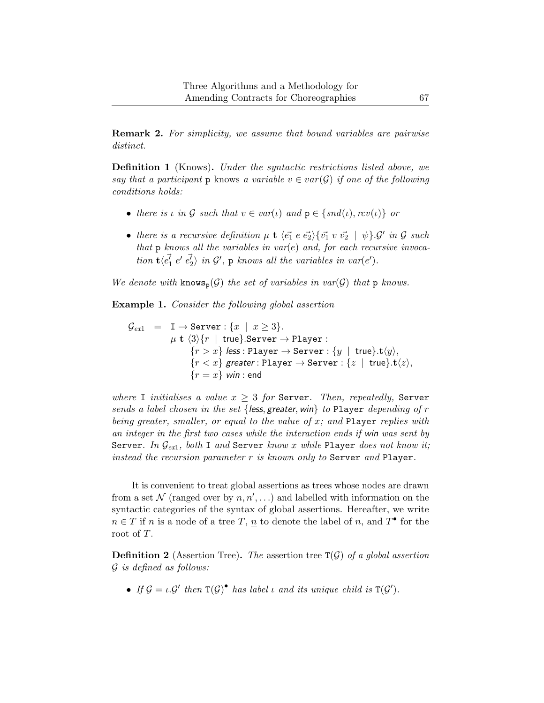Remark 2. For simplicity, we assume that bound variables are pairwise distinct.

Definition 1 (Knows). Under the syntactic restrictions listed above, we say that a participant p knows a variable  $v \in var(\mathcal{G})$  if one of the following conditions holds:

- there is  $\iota$  in  $\mathcal G$  such that  $v \in \mathit{var}(\iota)$  and  $p \in \{ \mathit{snd}(\iota), \mathit{rev}(\iota) \}$  or
- there is a recursive definition  $\mu$  **t**  $\langle \vec{e_1} \rangle \langle \vec{e_1} \rangle \langle \vec{e_2} \rangle \langle \vec{v_1} \rangle \langle \vec{v_2} \rangle \langle \psi \rangle$ .  $\mathcal{G}'$  in  $\mathcal{G}$  such that  $p$  knows all the variables in var(e) and, for each recursive invocation  $\mathbf{t} \langle \vec{e_1} \rangle e' \vec{e_2} \rangle$  in  $\mathcal{G}'$ ,  $p$  knows all the variables in var(e').

We denote with  $\text{know}_p(\mathcal{G})$  the set of variables in var $(\mathcal{G})$  that p knows.

<span id="page-6-0"></span>Example 1. Consider the following global assertion

$$
\begin{array}{lcl} \mathcal{G}_{ex1} & = & \mathrm{I} \rightarrow \mathrm{Server}: \{x \mid x \geq 3\}. \\ & & \mu \; \mathbf{t} \; \langle 3 \rangle \{r \mid \mathrm{true}\}. \mathrm{Server} \rightarrow \mathrm{Player}: \\ & & \{r > x\} \; \mathit{less}: \mathrm{Player} \rightarrow \mathrm{Server}: \{y \mid \mathrm{true}\}. \mathbf{t} \langle y \rangle, \\ & & \{r < x\} \; \mathit{greater}: \mathrm{Player} \rightarrow \mathrm{Server}: \{z \mid \mathrm{true}\}. \mathbf{t} \langle z \rangle, \\ & & \{r = x\} \; \text{win}: \mathrm{end} \end{array}
$$

where I initialises a value  $x \geq 3$  for Server. Then, repeatedly, Server sends a label chosen in the set {less, greater, win} to Player depending of  $r$ being greater, smaller, or equal to the value of  $x$ ; and Player replies with an integer in the first two cases while the interaction ends if win was sent by Server. In  $\mathcal{G}_{ext}$ , both I and Server know x while Player does not know it; instead the recursion parameter  $r$  is known only to Server and Player.

It is convenient to treat global assertions as trees whose nodes are drawn from a set  $\mathcal N$  (ranged over by  $n, n', \ldots$ ) and labelled with information on the syntactic categories of the syntax of global assertions. Hereafter, we write  $n \in T$  if n is a node of a tree T,  $\underline{n}$  to denote the label of n, and  $T^{\bullet}$  for the root of T.

**Definition 2** (Assertion Tree). The assertion tree  $T(G)$  of a global assertion G is defined as follows:

• If  $\mathcal{G} = \iota \mathcal{G}'$  then  $T(\mathcal{G})^{\bullet}$  has label  $\iota$  and its unique child is  $T(\mathcal{G}')$ .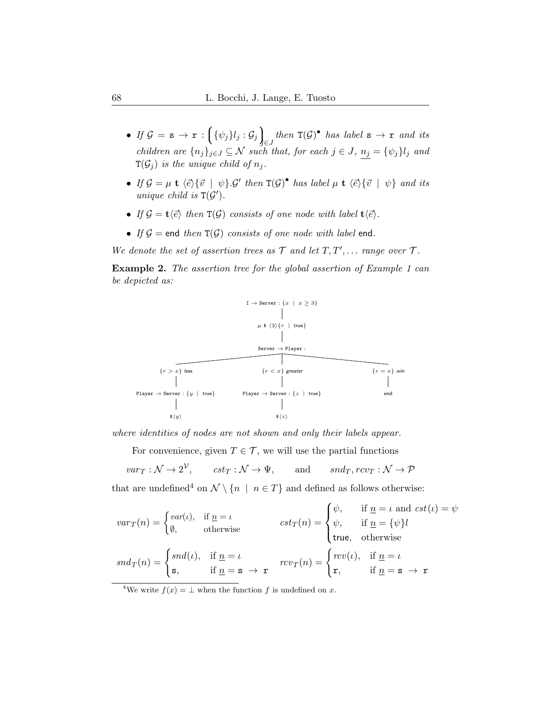- $\begin{array}{ll} \bullet \hspace{0.1cm} \textit{If} \hspace{0.1cm} \mathcal{G} \hspace{0.1cm}=\hspace{0.1cm} \texttt{s} \hspace{0.1cm} \rightarrow \hspace{0.1cm} \texttt{r} \hspace{0.1cm}:\hspace{0.1cm} \bigg\{ \psi_{j} \rbrace l_{j} : \mathcal{G}_{j} \bigg\}_{\!\!\!\beta} \end{array}$  $\int_{\mathfrak{S} J}$  then  $\mathsf{T}(\mathcal{G})^{\bullet}$  has label  $s \to r$  and its children are  ${n_j}_{j\in J} \subseteq \mathcal{N}$  such that, for each  $j \in J$ ,  $n_j = {\psi_j}_{j}$  and  $T(\mathcal{G}_i)$  is the unique child of  $n_i$ .
- If  $\mathcal{G} = \mu$  **t**  $\langle \vec{e} \rangle \{ \vec{v} \mid \psi \} . \mathcal{G}'$  then  $T(\mathcal{G})^{\bullet}$  has label  $\mu$  **t**  $\langle \vec{e} \rangle \{ \vec{v} \mid \psi \}$  and its unique child is  $T(G')$ .
- If  $\mathcal{G} = \mathbf{t}\langle \vec{e} \rangle$  then  $\mathbf{T}(\mathcal{G})$  consists of one node with label  $\mathbf{t}\langle \vec{e} \rangle$ .
- If  $G =$  end then  $T(G)$  consists of one node with label end.

We denote the set of assertion trees as  $\mathcal T$  and let  $T, T', \ldots$  range over  $\mathcal T$ .

Example 2. The assertion tree for the global assertion of Example [1](#page-6-0) can be depicted as:



where identities of nodes are not shown and only their labels appear.

For convenience, given  $T \in \mathcal{T}$ , we will use the partial functions

 $var_T : \mathcal{N} \to 2^{\mathcal{V}}, \quad \text{cst}_T : \mathcal{N} \to \Psi, \quad \text{and} \quad \text{snd}_T, rev_T : \mathcal{N} \to \mathcal{P}$ 

that are undefined<sup>[4](#page-7-0)</sup> on  $\mathcal{N} \setminus \{n \mid n \in T\}$  and defined as follows otherwise:

$$
var_T(n) = \begin{cases} var(\iota), & \text{if } \underline{n} = \iota \\ \emptyset, & \text{otherwise} \end{cases} \qquad \text{cst}_T(n) = \begin{cases} \psi, & \text{if } \underline{n} = \iota \text{ and } \text{cst}(\iota) = \psi \\ \psi, & \text{if } \underline{n} = \{\psi\}l \\ \text{true}, & \text{otherwise} \end{cases}
$$

$$
snd_T(n) = \begin{cases} sud(\iota), & \text{if } \underline{n} = \iota \\ s, & \text{if } \underline{n} = s \rightarrow r \end{cases} \qquad \text{rcv}_T(n) = \begin{cases} rcv(\iota), & \text{if } \underline{n} = \iota \\ r, & \text{if } \underline{n} = s \rightarrow r \end{cases}
$$

<span id="page-7-0"></span><sup>4</sup>We write  $f(x) = \perp$  when the function f is undefined on x.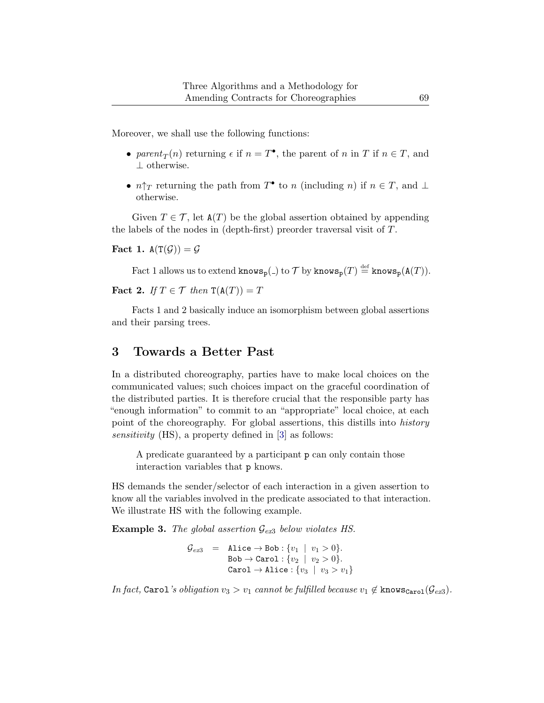Moreover, we shall use the following functions:

- parent<sub>T</sub> $(n)$  returning  $\epsilon$  if  $n = T^{\bullet}$ , the parent of n in T if  $n \in T$ , and ⊥ otherwise.
- $n\uparrow_T$  returning the path from  $T^{\bullet}$  to n (including n) if  $n \in T$ , and  $\perp$ otherwise.

Given  $T \in \mathcal{T}$ , let  $A(T)$  be the global assertion obtained by appending the labels of the nodes in (depth-first) preorder traversal visit of T.

<span id="page-8-1"></span>Fact 1.  $A(T(\mathcal{G})) = \mathcal{G}$ 

Fact [1](#page-8-1) allows us to extend  $\texttt{knows}_p(.)$  to  $\mathcal T$  by  $\texttt{knows}_p(T) \stackrel{\text{def}}{=} \texttt{knows}_p(\mathtt{A}(T)).$ 

<span id="page-8-2"></span>Fact 2. If  $T \in \mathcal{T}$  then  $\mathsf{T}(\mathsf{A}(T)) = T$ 

Facts [1](#page-8-1) and [2](#page-8-2) basically induce an isomorphism between global assertions and their parsing trees.

## <span id="page-8-0"></span>3 Towards a Better Past

In a distributed choreography, parties have to make local choices on the communicated values; such choices impact on the graceful coordination of the distributed parties. It is therefore crucial that the responsible party has "enough information" to commit to an "appropriate" local choice, at each point of the choreography. For global assertions, this distills into history sensitivity (HS), a property defined in [\[3\]](#page-42-2) as follows:

A predicate guaranteed by a participant p can only contain those interaction variables that p knows.

HS demands the sender/selector of each interaction in a given assertion to know all the variables involved in the predicate associated to that interaction. We illustrate HS with the following example.

<span id="page-8-3"></span>**Example [3](#page-8-3).** The global assertion  $\mathcal{G}_{ex3}$  below violates HS.

 $\mathcal{G}_{ex3}$  $\mathcal{G}_{ex3}$  $\mathcal{G}_{ex3}$  = Alice  $\rightarrow$  Bob :  $\{v_1 | v_1 > 0\}.$  $\texttt{Bob} \rightarrow \texttt{Carol}: \{v_2 ~|~ v_2 > 0\}.$ Carol  $\rightarrow$  Alice :  $\{v_3 | v_3 > v_1\}$ 

In fact, Carol's obligation  $v_3 > v_1$  $v_3 > v_1$  $v_3 > v_1$  cannot be fulfilled because  $v_1 \notin \text{knows}_{\text{Carol}}(\mathcal{G}_{ex3})$ .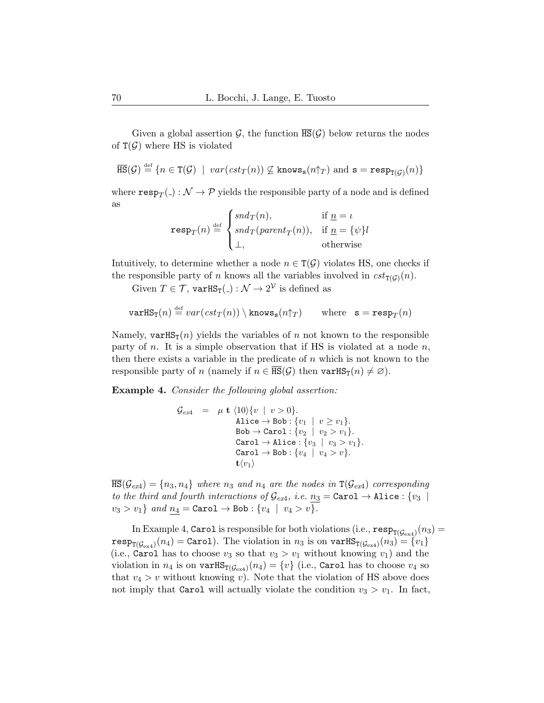Given a global assertion  $\mathcal{G}$ , the function  $\overline{\text{HS}}(\mathcal{G})$  below returns the nodes of  $T(G)$  where HS is violated

$$
\overline{\textup{HS}}(\mathcal{G}) \stackrel{\textup{def}}{=} \{ n \in \textup{T}(\mathcal{G}) \mid \textup{var}(\textup{cst}_T(n)) \not\subseteq \textup{knows}_{\mathbf{s}}(n \uparrow_T) \text{ and } \mathbf{s} = \textup{resp}_{\textup{T}(\mathcal{G})}(n) \}
$$

where  $\mathtt{resp}_T(\_) : \mathcal{N} \to \mathcal{P}$  yields the responsible party of a node and is defined as

$$
\text{resp}_T(n) \stackrel{\text{def}}{=} \begin{cases} \text{snd}_T(n), & \text{if } \underline{n} = \iota \\ \text{snd}_T(\text{parent}_T(n)), & \text{if } \underline{n} = \{\psi\}l \\ \bot, & \text{otherwise} \end{cases}
$$

Intuitively, to determine whether a node  $n \in \mathcal{T}(\mathcal{G})$  violates HS, one checks if the responsible party of n knows all the variables involved in  $cst_{T(G)}(n)$ .

Given  $T \in \mathcal{T}$ ,  $\text{varHS}_{T}(\text{-}): \mathcal{N} \to 2^{\mathcal{V}}$  is defined as

$$
\text{varHS}_{\mathbf{T}}(n) \stackrel{\text{def}}{=} \text{var}(\text{cst}_T(n)) \setminus \text{knows}_{\mathbf{s}}(n\uparrow_T) \qquad \text{where} \quad \mathbf{s} = \text{resp}_T(n)
$$

Namely, varHS<sub>T</sub> $(n)$  yields the variables of n not known to the responsible party of n. It is a simple observation that if HS is violated at a node  $n$ , then there exists a variable in the predicate of  $n$  which is not known to the responsible party of n (namely if  $n \in \overline{\text{HS}}(\mathcal{G})$  then  $\text{varHS}_{\text{T}}(n) \neq \emptyset$ ).

<span id="page-9-0"></span>Example 4. Consider the following global assertion:

$$
\begin{array}{lcl} \mathcal{G}_{ex4} & = & \mu \ \mathbf{t} \ \langle 10 \rangle \{ v \ | \ v > 0 \}. \\ \text{Alice} \rightarrow \text{Bob}: \{ v_1 \ | \ v \geq v_1 \}. \\ \text{Bob} \rightarrow \text{Carol}: \{ v_2 \ | \ v_2 > v_1 \}. \\ \text{Carol} \rightarrow \text{Alice}: \{ v_3 \ | \ v_3 > v_1 \}. \\ \text{Carol} \rightarrow \text{Bob}: \{ v_4 \ | \ v_4 > v \}. \\ \mathbf{t} \langle v_1 \rangle \end{array}
$$

 $\overline{\text{HS}}(\mathcal{G}_{ex4}) = \{n_3, n_4\}$  $\overline{\text{HS}}(\mathcal{G}_{ex4}) = \{n_3, n_4\}$  $\overline{\text{HS}}(\mathcal{G}_{ex4}) = \{n_3, n_4\}$  where  $n_3$  and  $n_4$  are the nodes in  $\text{T}(\mathcal{G}_{ex4})$  corresponding to the third and fourth interactions of  $\mathcal{G}_{ex4}$  $\mathcal{G}_{ex4}$  $\mathcal{G}_{ex4}$ , i.e.  $n_3 = \texttt{Carol} \rightarrow \texttt{Alice}: \{v_3$  $v_3 > v_1$ } and  $n_4 = \text{Carol} \to \text{Bob} : \{v_4 \mid v_4 > v\}.$ 

In Example [4,](#page-9-0)  $\texttt{Carol}$  is responsible for both violations (i.e.,  $\texttt{resp}_{\texttt{T}(\mathcal{G}_{\text{ex4}})}(n_3) =$  $\texttt{resp}_{\texttt{T}(\mathcal{G}_{\text{ex4}})}(n_3) =$  $\texttt{resp}_{\texttt{T}(\mathcal{G}_{\text{ex4}})}(n_3) =$  $\mathtt{resp}_{\mathtt{T}(\mathcal{G}_{\mathrm{ex}4})}(n_4)=\mathtt{Carol}).$  $\mathtt{resp}_{\mathtt{T}(\mathcal{G}_{\mathrm{ex}4})}(n_4)=\mathtt{Carol}).$  $\mathtt{resp}_{\mathtt{T}(\mathcal{G}_{\mathrm{ex}4})}(n_4)=\mathtt{Carol}).$  The violation in  $n_3$  is on  $\mathtt{varHS}_{\mathtt{T}(\mathcal{G}_{\mathrm{ex}4})}(n_3)=\{v_1\}$ (i.e., Carol has to choose  $v_3$  so that  $v_3 > v_1$  without knowing  $v_1$ ) and the violation in  $n_4$  $n_4$  is on  $\text{varHS}_{\text{T}(\mathcal{G}_{\text{ex4}})}(n_4) = \{v\}$  (i.e., Carol has to choose  $v_4$  so that  $v_4 > v$  without knowing v). Note that the violation of HS above does not imply that Carol will actually violate the condition  $v_3 > v_1$ . In fact,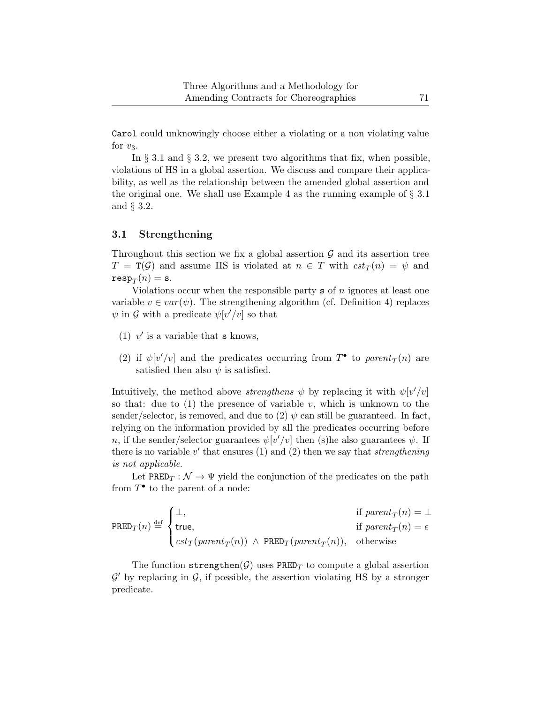Carol could unknowingly choose either a violating or a non violating value for  $v_3$ .

In  $\S 3.1$  $\S 3.1$  and  $\S 3.2$ , we present two algorithms that fix, when possible, violations of HS in a global assertion. We discuss and compare their applicability, as well as the relationship between the amended global assertion and the original one. We shall use Example [4](#page-9-0) as the running example of  $\S 3.1$  $\S 3.1$ and § [3.2.](#page-12-0)

### <span id="page-10-0"></span>3.1 Strengthening

Throughout this section we fix a global assertion  $\mathcal G$  and its assertion tree  $T = T(\mathcal{G})$  and assume HS is violated at  $n \in T$  with  $cst_T(n) = \psi$  and  $\mathtt{resp}_T(n)=\mathtt{s}.$ 

Violations occur when the responsible party  $s$  of n ignores at least one variable  $v \in var(\psi)$ . The strengthening algorithm (cf. Definition [4\)](#page-11-0) replaces  $\psi$  in  $\mathcal G$  with a predicate  $\psi[v'/v]$  so that

- (1)  $v'$  is a variable that **s** knows,
- (2) if  $\psi[v'/v]$  and the predicates occurring from  $T^{\bullet}$  to parent<sub>T</sub>(n) are satisfied then also  $\psi$  is satisfied.

Intuitively, the method above *strengthens*  $\psi$  by replacing it with  $\psi[v'/v]$ so that: due to  $(1)$  the presence of variable v, which is unknown to the sender/selector, is removed, and due to (2)  $\psi$  can still be guaranteed. In fact, relying on the information provided by all the predicates occurring before n, if the sender/selector guarantees  $\psi[v'/v]$  then (s) he also guarantees  $\psi$ . If there is no variable  $v'$  that ensures (1) and (2) then we say that *strengthening* is not applicable.

Let  $\text{PRED}_T : \mathcal{N} \to \Psi$  yield the conjunction of the predicates on the path from  $T^{\bullet}$  to the parent of a node:

$$
\texttt{PRED}_T(n) \stackrel{\text{def}}{=} \begin{cases} \bot, & \text{if } parent_T(n) = \bot \\ \texttt{true}, & \text{if } parent_T(n) = \epsilon \\ \textit{cst}_T(\textit{parent}_T(n)) \ \wedge \ \texttt{PRED}_T(\textit{parent}_T(n)), & \text{otherwise} \end{cases}
$$

<span id="page-10-1"></span>The function strengthen(G) uses PRED<sub>T</sub> to compute a global assertion  $\mathcal{G}'$  by replacing in  $\mathcal{G}$ , if possible, the assertion violating HS by a stronger predicate.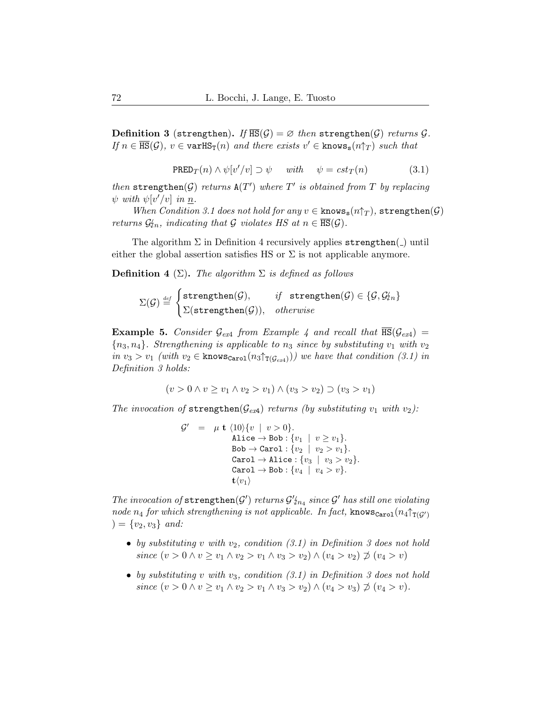<span id="page-11-1"></span>**Definition 3** (strengthen). If  $\overline{\text{HS}}(G) = \emptyset$  then strengthen(G) returns G. If  $n \in \overline{\text{HS}}(\mathcal{G})$ ,  $v \in \text{varHS}_{T}(n)$  and there exists  $v' \in \text{knows}_{s}(n\uparrow T)$  such that

$$
\text{PRED}_T(n) \land \psi[v'/v] \supset \psi \quad \text{with} \quad \psi = cst_T(n) \tag{3.1}
$$

then strengthen( $G$ ) returns  $A(T')$  where  $T'$  is obtained from  $T$  by replacing  $\psi$  with  $\psi[v'/v]$  in  $\underline{n}$ .

When Condition [3.1](#page-11-1) does not hold for any  $v \in$  knows<sub>s</sub> $(n\uparrow_T)$ , strengthen $(\mathcal{G})$ returns  $\mathcal{G}_{2n}$ , indicating that G violates HS at  $n \in HS(\mathcal{G})$ .

The algorithm  $\Sigma$  in Definition [4](#page-11-0) recursively applies strengthen( $\Box$ ) until either the global assertion satisfies HS or  $\Sigma$  is not applicable anymore.

<span id="page-11-0"></span>**Definition 4** (Σ). The algorithm  $\Sigma$  is defined as follows

$$
\Sigma(\mathcal{G}) \stackrel{\mathrm{\scriptscriptstyle def}}{=} \begin{cases} \mathtt{strengthen}(\mathcal{G}), & \textit{if} \ \mathtt{strengthen}(\mathcal{G}) \in \{\mathcal{G}, \mathcal{G}\nmid n\} \\ \Sigma(\mathtt{strengthen}(\mathcal{G})), & \textit{otherwise} \end{cases}
$$

<span id="page-11-2"></span>**Example 5.** Consider  $\mathcal{G}_{ex4}$  $\mathcal{G}_{ex4}$  $\mathcal{G}_{ex4}$  from Example 4 and recall that  $\overline{\text{HS}}(\mathcal{G}_{ex4})$  =  ${n_3, n_4}$ . Strengthening is applicable to  $n_3$  since by substituting  $v_1$  with  $v_2$ in  $v_3 > v_1$  (with  $v_2 \in \text{knows}_{\text{Carol}}(n_3 \uparrow_{\text{T}(\mathcal{G}_{ex4})}))$  $v_2 \in \text{knows}_{\text{Carol}}(n_3 \uparrow_{\text{T}(\mathcal{G}_{ex4})}))$  $v_2 \in \text{knows}_{\text{Carol}}(n_3 \uparrow_{\text{T}(\mathcal{G}_{ex4})}))$  we have that condition [\(3.1\)](#page-11-1) in Definition [3](#page-10-1) holds:

$$
(v > 0 \land v \ge v_1 \land v_2 > v_1) \land (v_3 > v_2) \supset (v_3 > v_1)
$$

The invocation of strengthen( $\mathcal{G}_{ex4}$  $\mathcal{G}_{ex4}$  $\mathcal{G}_{ex4}$ ) returns (by substituting  $v_1$  with  $v_2$ ):

$$
\mathcal{G}' = \mu \mathbf{t} \langle 10 \rangle \{v \mid v > 0\}.
$$
  
Alice  $\rightarrow$  Bob :  $\{v_1 \mid v \ge v_1\}$ .  
Bob  $\rightarrow$  Carol :  $\{v_2 \mid v_2 > v_1\}$ .  
Carol  $\rightarrow$  Alice :  $\{v_3 \mid v_3 > v_2\}$ .  
Carol  $\rightarrow$  Bob :  $\{v_4 \mid v_4 > v\}$ .  
 $\mathbf{t} \langle v_1 \rangle$ 

The invocation of strengthen( $G'$ ) returns  $G'_{n_4}$  since  $G'$  has still one violating<br>rade  $x$  for which strengthening is not emplicable. In fact, known  $(x, \hat{y})$ node  $n_4$  for which strengthening is not applicable. In fact, knows<sub>Carol</sub> $(n_4 \uparrow_{\text{T}(G)})$  $) = \{v_2, v_3\}$  and:

- by substituting v with  $v_2$ , condition [\(3.1\)](#page-11-1) in Definition [3](#page-10-1) does not hold since  $(v > 0 \land v \ge v_1 \land v_2 > v_1 \land v_3 > v_2) \land (v_4 > v_2) \not\supset (v_4 > v)$
- by substituting v with  $v_3$  $v_3$ , condition [\(3.1\)](#page-11-1) in Definition 3 does not hold since  $(v > 0 \land v \ge v_1 \land v_2 > v_1 \land v_3 > v_2) \land (v_4 > v_3) \not\supset (v_4 > v).$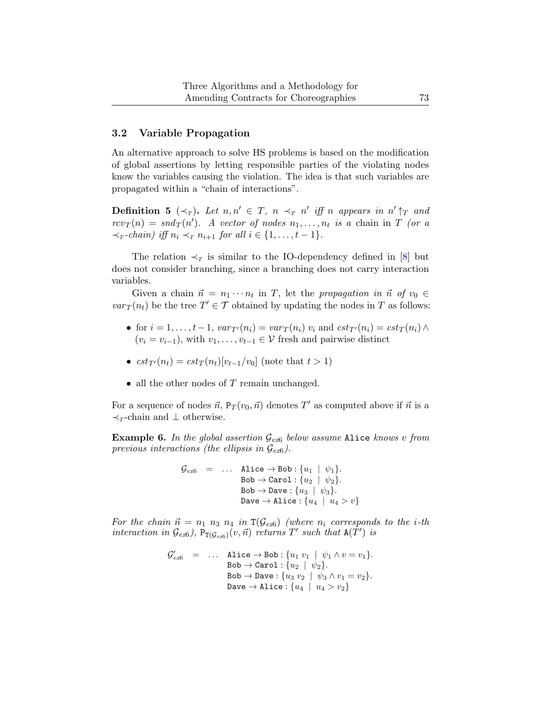### <span id="page-12-0"></span>3.2 Variable Propagation

An alternative approach to solve HS problems is based on the modification of global assertions by letting responsible parties of the violating nodes know the variables causing the violation. The idea is that such variables are propagated within a "chain of interactions".

<span id="page-12-2"></span>**Definition 5** ( $\prec_T$ ). Let  $n, n' \in T$ ,  $n \prec_T n'$  iff n appears in  $n' \uparrow_T$  and  $rcv_T(n) = snd_T(n')$ . A vector of nodes  $n_1, \ldots, n_t$  is a chain in T (or a  $\prec_T$ -chain) iff  $n_i \prec_T n_{i+1}$  for all  $i \in \{1, \ldots, t-1\}.$ 

The relation  $\prec_T$  is similar to the IO-dependency defined in [\[8\]](#page-42-1) but does not consider branching, since a branching does not carry interaction variables.

Given a chain  $\vec{n} = n_1 \cdots n_t$  in T, let the propagation in  $\vec{n}$  of  $v_0 \in$  $var_T(n_t)$  be the tree  $T' \in \mathcal{T}$  obtained by updating the nodes in T as follows:

- for  $i = 1, \ldots, t-1$ ,  $var_{T}(n_i) = var_T(n_i)$   $v_i$  and  $cst_{T}(n_i) = cst_T(n_i)$   $\wedge$  $(v_i = v_{i-1})$ , with  $v_1, \ldots, v_{t-1} \in \mathcal{V}$  fresh and pairwise distinct
- $cst_{T'}(n_t) = cst_T(n_t)[v_{t-1}/v_0]$  (note that  $t > 1$ )
- all the other nodes of  $T$  remain unchanged.

For a sequence of nodes  $\vec{n}$ ,  $P_T(v_0, \vec{n})$  denotes T' as computed above if  $\vec{n}$  is a  $\prec_T$ -chain and  $\perp$  otherwise.

<span id="page-12-1"></span>**Example [6](#page-12-1).** In the global assertion  $\mathcal{G}_{\text{ext}}$  below assume Alice knows v from previous interactions (the ellipsis in  $\mathcal{G}_{ex6}$  $\mathcal{G}_{ex6}$  $\mathcal{G}_{ex6}$ ).

$$
\begin{array}{lcl} \mathcal{G}_{ex6} & = & \ldots & \text{Alice} \rightarrow \text{Bob}: \{u_1 ~|~ \psi_1\}. \\ & & \text{Bob} \rightarrow \text{Carol}: \{u_2 ~|~ \psi_2\}. \\ & & \text{Bob} \rightarrow \text{Dave}: \{u_3 ~|~ \psi_3\}. \\ & & \text{Dave} \rightarrow \text{Alice}: \{u_4 ~|~ u_4 > v\} \end{array}
$$

For the chain  $\vec{n} = n_1 \, n_3 \, n_4$  in  $\text{T}(\mathcal{G}_{ex6})$  $\text{T}(\mathcal{G}_{ex6})$  $\text{T}(\mathcal{G}_{ex6})$  (where  $n_i$  corresponds to the i-th interaction in  $\mathcal{G}_{ext}$ ),  $P_{T(\mathcal{G}_{ext})}(v, \vec{n})$  returns  $T'$  such that  $A(\tilde{T}')$  is

$$
\begin{array}{rcl} \mathcal{G}'_{e x 6} & = & \ldots & \text{Alice} \rightarrow \text{Bob}: \{u_1 \ v_1 \mid \psi_1 \land v = v_1\}. \\ & & \text{Bob} \rightarrow \text{Carol}: \{u_2 \mid \psi_2\}. \\ & & \text{Bob} \rightarrow \text{ Dave}: \{u_3 \ v_2 \mid \psi_3 \land v_1 = v_2\}. \\ & & \text{ Dave} \rightarrow \text{Alice}: \{u_4 \mid u_4 > v_2\} \end{array}
$$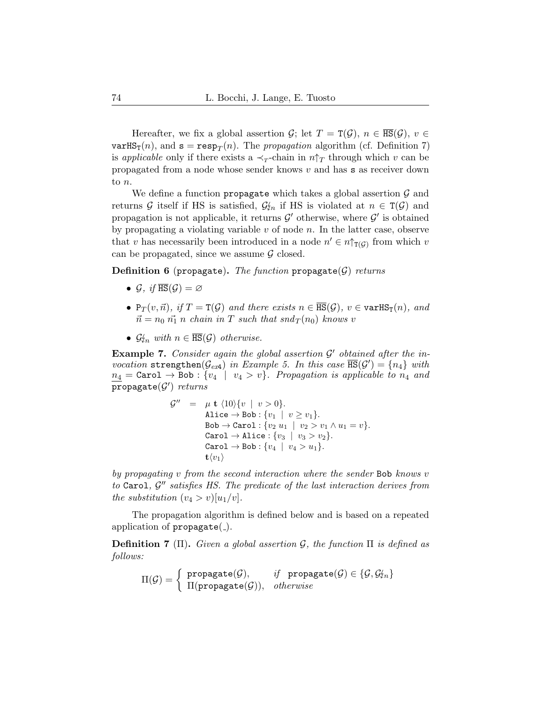Hereafter, we fix a global assertion  $\mathcal{G}$ ; let  $T = \texttt{T}(\mathcal{G})$ ,  $n \in \overline{\texttt{HS}}(\mathcal{G})$ ,  $v \in$  $\texttt{varHS}_{\texttt{T}}(n)$ , and  $\texttt{s} = \texttt{resp}_T(n)$ . The propagation algorithm (cf. Definition [7\)](#page-13-0) is applicable only if there exists a  $\prec_T$ -chain in  $n \uparrow_T$  through which v can be propagated from a node whose sender knows v and has s as receiver down to n.

We define a function propagate which takes a global assertion  $\mathcal G$  and returns G itself if HS is satisfied,  $\mathcal{G}_{\ell n}$  if HS is violated at  $n \in \mathcal{T}(\mathcal{G})$  and propagation is not applicable, it returns  $\mathcal{G}'$  otherwise, where  $\mathcal{G}'$  is obtained by propagating a violating variable  $v$  of node  $n$ . In the latter case, observe that v has necessarily been introduced in a node  $n' \in n \uparrow_{\mathsf{T}(\mathcal{G})}$  from which v can be propagated, since we assume  $\mathcal G$  closed.

<span id="page-13-1"></span>**Definition 6** (propagate). The function propagate( $G$ ) returns

- $\mathcal{G}, \textit{if } \overline{\text{HS}}(\mathcal{G}) = \varnothing$
- $P_T(v, \vec{n})$ , if  $T = T(\mathcal{G})$  and there exists  $n \in \overline{HS}(\mathcal{G})$ ,  $v \in \text{varHS}_T(n)$ , and  $\vec{n} = n_0 \vec{n_1} n$  chain in T such that snd $T(n_0)$  knows v
- $\mathcal{G}_{\ell n}$  with  $n \in \overline{\text{HS}}(\mathcal{G})$  otherwise.

<span id="page-13-2"></span>**Example 7.** Consider again the global assertion  $\mathcal{G}'$  obtained after the invocation strengthen  $(\mathcal{G}_{ex4})$  $(\mathcal{G}_{ex4})$  $(\mathcal{G}_{ex4})$  in Example [5.](#page-11-2) In this case  $\overline{\text{HS}}(\mathcal{G}') = \{n_4\}$  with  $n_4 = \texttt{Carol} \rightarrow \texttt{Bob}: \{v_4 \mid v_4 > v\}.$  Propagation is applicable to  $n_4$  and  $\overline{\mathsf{propagate}(\mathcal{G}')}$   $returns$ 

$$
\mathcal{G}'' = \mu \mathbf{t} \langle 10 \rangle \{v \mid v > 0\}.
$$
  
Alice  $\rightarrow$  Bob :  $\{v_1 \mid v \ge v_1\}$ .  
Bob  $\rightarrow$  Carol :  $\{v_2 u_1 \mid v_2 > v_1 \land u_1 = v\}$ .  
Carol  $\rightarrow$  Alice :  $\{v_3 \mid v_3 > v_2\}$ .  
Carol  $\rightarrow$  Bob :  $\{v_4 \mid v_4 > u_1\}$ .  
 $\mathbf{t} \langle v_1 \rangle$ 

by propagating v from the second interaction where the sender Bob knows v to  $\texttt{Carol}, \mathcal{G}''$  satisfies HS. The predicate of the last interaction derives from the substitution  $(v_4 > v)[u_1/v]$ .

The propagation algorithm is defined below and is based on a repeated application of  $propagate(.)$ .

<span id="page-13-0"></span>**Definition 7** (Π). Given a global assertion  $\mathcal{G}$ , the function  $\Pi$  is defined as follows:

$$
\Pi(\mathcal{G}) = \begin{cases} \text{ propagate}(\mathcal{G}), & \text{if } \text{propagate}(\mathcal{G}) \in \{\mathcal{G}, \mathcal{G}_{2n}\} \\ \Pi(\text{propagate}(\mathcal{G})), & otherwise \end{cases}
$$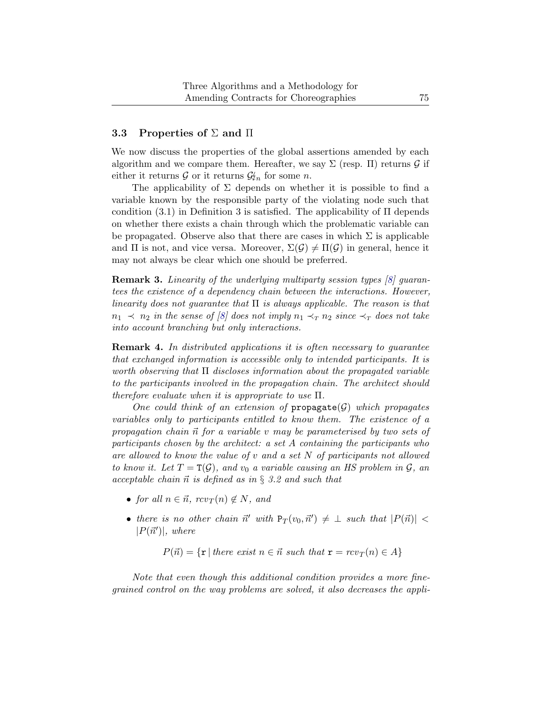### <span id="page-14-0"></span>3.3 Properties of  $\Sigma$  and  $\Pi$

We now discuss the properties of the global assertions amended by each algorithm and we compare them. Hereafter, we say  $\Sigma$  (resp. II) returns  $\mathcal G$  if either it returns  $\mathcal{G}$  or it returns  $\mathcal{G}_{n}$  for some n.

The applicability of  $\Sigma$  depends on whether it is possible to find a variable known by the responsible party of the violating node such that condition  $(3.1)$  in Definition [3](#page-10-1) is satisfied. The applicability of  $\Pi$  depends on whether there exists a chain through which the problematic variable can be propagated. Observe also that there are cases in which  $\Sigma$  is applicable and  $\Pi$  is not, and vice versa. Moreover,  $\Sigma(\mathcal{G}) \neq \Pi(\mathcal{G})$  in general, hence it may not always be clear which one should be preferred.

Remark 3. Linearity of the underlying multiparty session types [\[8\]](#page-42-1) guarantees the existence of a dependency chain between the interactions. However, linearity does not quarantee that  $\Pi$  is always applicable. The reason is that  $n_1 \prec n_2$  in the sense of [\[8\]](#page-42-1) does not imply  $n_1 \prec_T n_2$  since  $\prec_T$  does not take into account branching but only interactions.

<span id="page-14-1"></span>Remark 4. In distributed applications it is often necessary to guarantee that exchanged information is accessible only to intended participants. It is worth observing that  $\Pi$  discloses information about the propagated variable to the participants involved in the propagation chain. The architect should therefore evaluate when it is appropriate to use  $\Pi$ .

One could think of an extension of  $propagate(G)$  which propagates variables only to participants entitled to know them. The existence of a propagation chain  $\vec{n}$  for a variable v may be parameterised by two sets of participants chosen by the architect: a set A containing the participants who are allowed to know the value of  $v$  and a set  $N$  of participants not allowed to know it. Let  $T = T(\mathcal{G})$ , and  $v_0$  a variable causing an HS problem in  $\mathcal{G}$ , an acceptable chain  $\vec{n}$  is defined as in § [3.2](#page-12-0) and such that

- for all  $n \in \vec{n}$ ,  $rcv_T(n) \notin N$ , and
- there is no other chain  $\vec{n}'$  with  $P_T(v_0, \vec{n}') \neq \perp$  such that  $|P(\vec{n})|$  <  $|P(\vec{n}')|$ , where

$$
P(\vec{n}) = \{ \mathbf{r} \mid \text{there exist } n \in \vec{n} \text{ such that } \mathbf{r} = rcv_T(n) \in A \}
$$

Note that even though this additional condition provides a more finegrained control on the way problems are solved, it also decreases the appli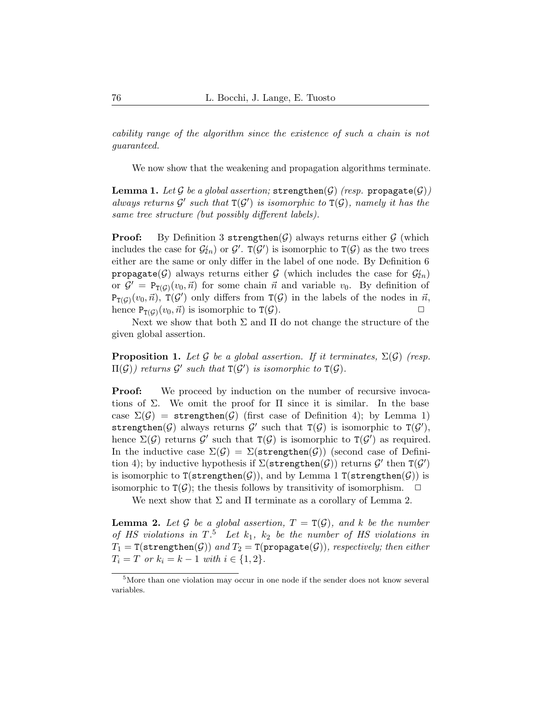cability range of the algorithm since the existence of such a chain is not guaranteed.

We now show that the weakening and propagation algorithms terminate.

<span id="page-15-0"></span>**Lemma 1.** Let G be a global assertion; strengthen(G) (resp. propagate(G)) always returns  $\mathcal{G}'$  such that  $T(\mathcal{G}')$  is isomorphic to  $T(\mathcal{G})$ , namely it has the same tree structure (but possibly different labels).

**Proof:** By Definition [3](#page-10-1) strengthen( $\mathcal{G}$ ) always returns either  $\mathcal{G}$  (which includes the case for  $\mathcal{G}'_{2n}$  or  $\mathcal{G}'$ .  $T(\mathcal{G}')$  is isomorphic to  $T(\mathcal{G})$  as the two trees either are the same or only differ in the label of one node. By Definition [6](#page-13-1) propagate(G) always returns either G (which includes the case for  $\mathcal{G}_m$ ) or  $\mathcal{G}' = \mathbb{P}_{\mathbb{T}(\mathcal{G})}(v_0, \vec{n})$  for some chain  $\vec{n}$  and variable  $v_0$ . By definition of  $P_{T(\mathcal{G})}(v_0, \vec{n}), T(\mathcal{G}')$  only differs from  $T(\mathcal{G})$  in the labels of the nodes in  $\vec{n}$ , hence  $P_{T(\mathcal{G})}(v_0, \vec{n})$  is isomorphic to  $T(\mathcal{G})$ .

Next we show that both  $\Sigma$  and  $\Pi$  do not change the structure of the given global assertion.

<span id="page-15-3"></span>**Proposition 1.** Let G be a global assertion. If it terminates,  $\Sigma(\mathcal{G})$  (resp.  $\Pi(\mathcal{G})$ ) returns  $\mathcal{G}'$  such that  $\mathtt{T}(\mathcal{G}')$  is isomorphic to  $\mathtt{T}(\mathcal{G})$ .

**Proof:** We proceed by induction on the number of recursive invocations of  $\Sigma$ . We omit the proof for  $\Pi$  since it is similar. In the base case  $\Sigma(\mathcal{G}) =$  strengthen( $\mathcal{G}$ ) (first case of Definition [4\)](#page-11-0); by Lemma [1\)](#page-15-0) strengthen( $G$ ) always returns  $G'$  such that  $T(G)$  is isomorphic to  $T(G')$ , hence  $\Sigma(G)$  returns  $\mathcal{G}'$  such that  $T(\mathcal{G})$  is isomorphic to  $T(\mathcal{G}')$  as required. In the inductive case  $\Sigma(\mathcal{G}) = \Sigma(\text{strengthen}(\mathcal{G}))$  (second case of Defini-tion [4\)](#page-11-0); by inductive hypothesis if  $\Sigma(\texttt{strengthen}(\mathcal{G}))$  returns  $\mathcal{G}'$  then  $\texttt{T}(\mathcal{G}')$ is isomorphic to  $T(\text{strengthen}(\mathcal{G}))$ , and by Lemma [1](#page-15-0)  $T(\text{strengthen}(\mathcal{G}))$  is isomorphic to  $T(G)$ ; the thesis follows by transitivity of isomorphism.  $\Box$ 

We next show that  $\Sigma$  and  $\Pi$  terminate as a corollary of Lemma [2.](#page-15-1)

<span id="page-15-1"></span>**Lemma 2.** Let G be a global assertion,  $T = T(G)$ , and k be the number of HS violations in  $T^5$  $T^5$ . Let  $k_1$ ,  $k_2$  be the number of HS violations in  $T_1 = \texttt{T}(\texttt{strengthen}(\mathcal{G}))$  and  $T_2 = \texttt{T}(\texttt{propagate}(\mathcal{G})),$  respectively; then either  $T_i = T$  or  $k_i = k - 1$  with  $i \in \{1, 2\}.$ 

<span id="page-15-2"></span><sup>5</sup>More than one violation may occur in one node if the sender does not know several variables.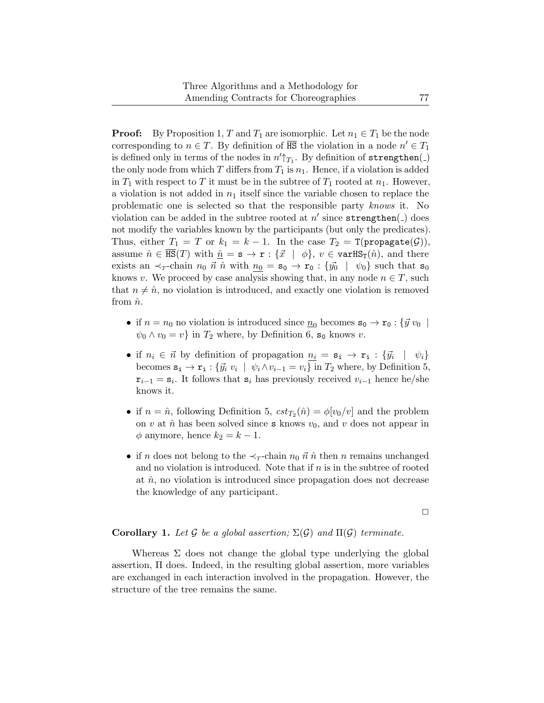**Proof:** By Proposition [1,](#page-15-3) T and  $T_1$  are isomorphic. Let  $n_1 \in T_1$  be the node corresponding to  $n \in T$ . By definition of  $\overline{\text{HS}}$  the violation in a node  $n' \in T_1$ is defined only in terms of the nodes in  $n'\uparrow_{T_1}$ . By definition of strengthen(\_) the only node from which T differs from  $T_1$  is  $n_1$ . Hence, if a violation is added in  $T_1$  with respect to T it must be in the subtree of  $T_1$  rooted at  $n_1$ . However, a violation is not added in  $n_1$  itself since the variable chosen to replace the problematic one is selected so that the responsible party knows it. No violation can be added in the subtree rooted at  $n'$  since  $\texttt{strengthen}($  ) does not modify the variables known by the participants (but only the predicates). Thus, either  $T_1 = T$  or  $k_1 = k - 1$ . In the case  $T_2 = T$ (propagate(G)), assume  $\hat{n} \in \overline{\text{HS}}(T)$  with  $\hat{n} = \mathbf{s} \to \mathbf{r} : {\vec{x} \mid \phi}, v \in \text{varHS}_T(\hat{n}),$  and there exists an  $\prec_T$ -chain  $n_0 \vec{n} \hat{n}$  with  $n_0 = s_0 \rightarrow r_0 : \{\vec{y_0} \mid \psi_0\}$  such that  $s_0$ knows v. We proceed by case analysis showing that, in any node  $n \in T$ , such that  $n \neq \hat{n}$ , no violation is introduced, and exactly one violation is removed from  $\hat{n}$ .

- if  $n = n_0$  no violation is introduced since  $\underline{n}_0$  becomes  $\mathbf{s}_0 \to \mathbf{r}_0 : {\overline{\mathbf{y}} \, v_0}$  $\psi_0 \wedge v_0 = v$  in  $T_2$  where, by Definition [6,](#page-13-1)  $s_0$  knows v.
- if  $n_i \in \vec{n}$  by definition of propagation  $\underline{n_i} = \mathbf{s_i} \rightarrow \mathbf{r_i} : \{ \vec{y_i} \mid \psi_i \}$ becomes  $\mathbf{s_i} \to \mathbf{r_i}$ : { $\vec{y_i} \, v_i \mid \psi_i \wedge v_{i-1} = v_i$ } in  $T_2$  where, by Definition [5,](#page-12-2)  $\mathbf{r}_{i-1} = \mathbf{s}_i$ . It follows that  $\mathbf{s}_i$  has previously received  $v_{i-1}$  hence he/she knows it.
- if  $n = \hat{n}$ , following Definition [5,](#page-12-2)  $cst_{T_2}(\hat{n}) = \phi[v_0/v]$  and the problem on v at  $\hat{n}$  has been solved since **s** knows  $v_0$ , and v does not appear in  $\phi$  anymore, hence  $k_2 = k - 1$ .
- if n does not belong to the  $\prec_{\tau}$ -chain  $n_0 \vec{n} \hat{n}$  then n remains unchanged and no violation is introduced. Note that if  $n$  is in the subtree of rooted at  $\hat{n}$ , no violation is introduced since propagation does not decrease the knowledge of any participant.

 $\Box$ 

#### **Corollary 1.** Let G be a global assertion;  $\Sigma(\mathcal{G})$  and  $\Pi(\mathcal{G})$  terminate.

Whereas  $\Sigma$  does not change the global type underlying the global assertion, Π does. Indeed, in the resulting global assertion, more variables are exchanged in each interaction involved in the propagation. However, the structure of the tree remains the same.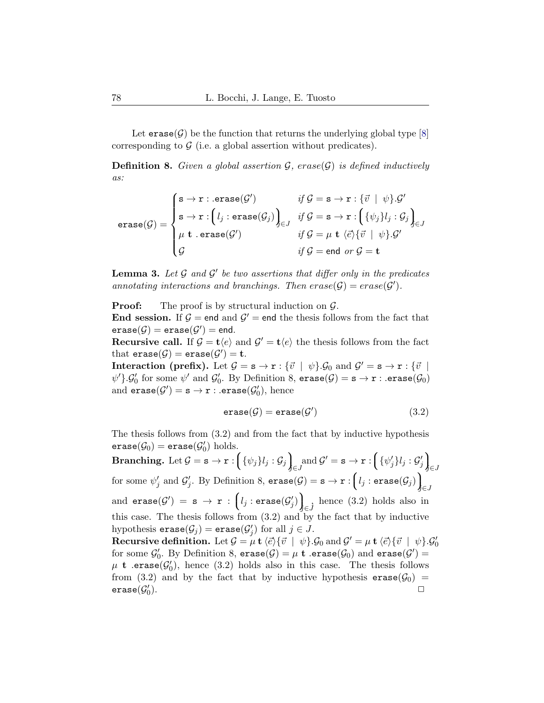Let  $erase(G)$  be the function that returns the underlying global type [\[8\]](#page-42-1) corresponding to  $\mathcal G$  (i.e. a global assertion without predicates).

<span id="page-17-0"></span>**Definition 8.** Given a global assertion  $\mathcal{G}$ , erase( $\mathcal{G}$ ) is defined inductively as:

$$
\text{erase}(\mathcal{G}) = \begin{cases} \mathbf{s} \to \mathbf{r} : \text{.erase}(\mathcal{G}') & \text{if } \mathcal{G} = \mathbf{s} \to \mathbf{r} : \{\vec{v} \mid \psi\}. \mathcal{G}' \\ \mathbf{s} \to \mathbf{r} : \left(l_j : \text{erase}(\mathcal{G}_j)\right)_{\in J} & \text{if } \mathcal{G} = \mathbf{s} \to \mathbf{r} : \left(\{\psi_j\}l_j : \mathcal{G}_j\right)_{\in J} \\ \mu \mathbf{t} \cdot \text{erase}(\mathcal{G}') & \text{if } \mathcal{G} = \mu \mathbf{t} \setminus \{\vec{e}\} \{\vec{v} \mid \psi\}. \mathcal{G}' \\ \mathcal{G} & \text{if } \mathcal{G} = \text{end or } \mathcal{G} = \mathbf{t} \end{cases}
$$

<span id="page-17-2"></span>**Lemma 3.** Let  $\mathcal G$  and  $\mathcal G'$  be two assertions that differ only in the predicates annotating interactions and branchings. Then  $\text{erase}(\mathcal{G}) = \text{erase}(\mathcal{G}')$ .

**Proof:** The proof is by structural induction on  $\mathcal{G}$ .

**End session.** If  $\mathcal{G} =$  end and  $\mathcal{G}' =$  end the thesis follows from the fact that  $\texttt{erase}(\mathcal{G}) = \texttt{erase}(\mathcal{G}') = \texttt{end}.$ 

**Recursive call.** If  $\mathcal{G} = \mathbf{t}\langle e \rangle$  and  $\mathcal{G}' = \mathbf{t}\langle e \rangle$  the thesis follows from the fact that  $\texttt{erase}(\mathcal{G}) = \texttt{erase}(\mathcal{G}') = \texttt{t}.$ 

**Interaction (prefix).** Let  $\mathcal{G} = \mathbf{s} \to \mathbf{r} : \{\vec{v} \mid \psi\}.\mathcal{G}_0$  and  $\mathcal{G}' = \mathbf{s} \to \mathbf{r} : \{\vec{v} \mid \psi\}$  $\psi'$ .  $\mathcal{G}'_0$  for some  $\psi'$  and  $\mathcal{G}'_0$ . By Definition [8,](#page-17-0) erase( $\mathcal{G}_0$ ) = s  $\rightarrow$  r : .erase( $\mathcal{G}_0$ ) and  $\texttt{erase}(\mathcal{G}') = \texttt{s} \rightarrow \texttt{r}$ : .erase $(\mathcal{G}_0')$ , hence

<span id="page-17-1"></span>
$$
\texttt{erase}(\mathcal{G}) = \texttt{erase}(\mathcal{G}')
$$
\n(3.2)

The thesis follows from [\(3.2\)](#page-17-1) and from the fact that by inductive hypothesis  $\texttt{erase}(\mathcal{G}_0) = \texttt{erase}(\mathcal{G}_0') \text{ holds.}$ 

 $\textbf{Branching.}\, \, \text{Let}\, \mathcal{G}=\texttt{s}\rightarrow \texttt{r}: \bigg(\{\psi_j\}l_j:\mathcal{G}_j\bigg)_{\!\!\!\!\!\!S}$  $\int_{\epsilon}$  and  $\mathcal{G}' = \mathbf{s} \to \mathbf{r} : \left( \{ \psi'_j \} l_j : \mathcal{G}'_j \right)_{\epsilon}$  $\int_{\epsilon}$ for some  $\psi'_j$  and  $\mathcal{G}'_j$ . By Definition [8,](#page-17-0)  $\texttt{erase}(\mathcal{G}) = \mathtt{s} \rightarrow \mathtt{r} : \bigg(\iota_j : \texttt{erase}(\mathcal{G}_j)\bigg)_\ell$  $\int_{\epsilon}$  $\quad \text{ and } \texttt{erase}(\mathcal{G}') \ = \ \texttt{s} \ \rightarrow \ \texttt{r} \ : \ \Bigl(l_j: \texttt{erase}(\mathcal{G}'_j)\Bigr)_{\!\!\!\!\!\!S}$  $\int_{\epsilon}$  hence [\(3.2\)](#page-17-1) holds also in this case. The thesis follows from [\(3.2\)](#page-17-1) and by the fact that by inductive hypothesis  $\texttt{erase}(\mathcal{G}_j) = \texttt{erase}(\mathcal{G}'_j)$  for all  $j \in J$ . Recursive definition. Let  $\mathcal{G} = \mu \mathbf{t} \langle \vec{e} \rangle \{ \vec{v} \mid \psi \} . \mathcal{G}_0$  and  $\mathcal{G}' = \mu \mathbf{t} \langle \vec{e} \rangle \{ \vec{v} \mid \psi \} . \mathcal{G}'_0$ 

<span id="page-17-3"></span>for some  $\mathcal{G}'_0$ . By Definition [8,](#page-17-0)  $\texttt{erase}(\mathcal{G}) = \mu \texttt{ t }$  .erase( $\mathcal{G}_0$ ) and  $\texttt{erase}(\mathcal{G}') =$  $\mu$  **t** .erase( $\mathcal{G}'_0$ ), hence [\(3.2\)](#page-17-1) holds also in this case. The thesis follows from [\(3.2\)](#page-17-1) and by the fact that by inductive hypothesis  $\text{erase}(\mathcal{G}_0) = \text{erase}(\mathcal{G}'_0)$ .  $\mathsf{erase}(\mathcal{G}_0'$ ).  $\Box$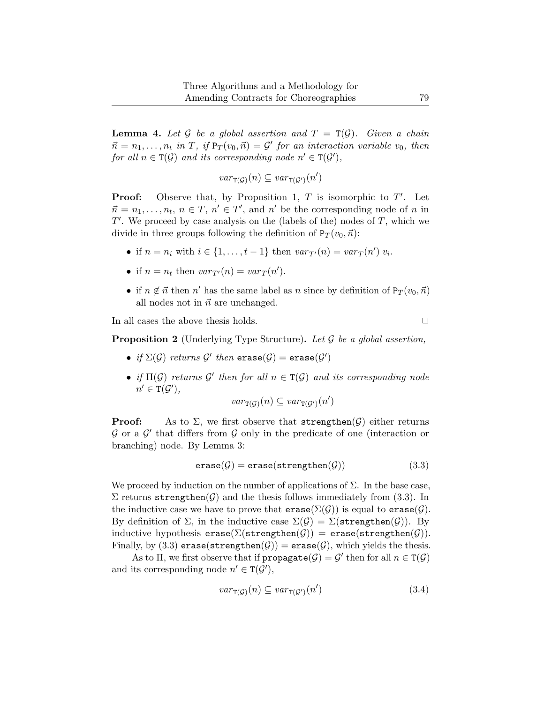**Lemma 4.** Let G be a global assertion and  $T = T(G)$ . Given a chain  $\vec{n} = n_1, \dots, n_t$  in T, if  $Pr(v_0, \vec{n}) = G'$  for an interaction variable  $v_0$ , then for all  $n \in \mathsf{T}(\mathcal{G})$  and its corresponding node  $n' \in \mathsf{T}(\mathcal{G}')$ ,

$$
\mathit{var}_{\mathtt{T}(\mathcal{G})}(n) \subseteq \mathit{var}_{\mathtt{T}(\mathcal{G}')}(n')
$$

**Proof:** Observe that, by Proposition [1,](#page-15-3)  $T$  is isomorphic to  $T'$ . Let  $\vec{n} = n_1, \dots, n_t, n \in T, n' \in T'$ , and n' be the corresponding node of n in  $T'$ . We proceed by case analysis on the (labels of the) nodes of  $T$ , which we divide in three groups following the definition of  $P_T(v_0, \vec{n})$ :

- if  $n = n_i$  with  $i \in \{1, ..., t-1\}$  then  $var_{T'}(n) = var_T(n') v_i$ .
- if  $n = n_t$  then  $var_{T'}(n) = var_T(n')$ .
- if  $n \notin \vec{n}$  then  $n'$  has the same label as n since by definition of  $P_T(v_0, \vec{n})$ all nodes not in  $\vec{n}$  are unchanged.

<span id="page-18-0"></span>In all cases the above thesis holds.  $\Box$ 

**Proposition 2** (Underlying Type Structure). Let  $\mathcal G$  be a global assertion,

- if  $\Sigma(\mathcal{G})$  returns  $\mathcal{G}'$  then  $\mathtt{erase}(\mathcal{G}) = \mathtt{erase}(\mathcal{G}')$
- if  $\Pi(\mathcal{G})$  returns  $\mathcal{G}'$  then for all  $n \in \mathcal{T}(\mathcal{G})$  and its corresponding node  $n' \in \texttt{T}(\mathcal{G}'),$

<span id="page-18-1"></span>
$$
\mathit{var}_{\mathtt{T}(\mathcal{G})}(n) \subseteq \mathit{var}_{\mathtt{T}(\mathcal{G}')}(n')
$$

**Proof:** As to  $\Sigma$ , we first observe that strengthen $(\mathcal{G})$  either returns  $G$  or a  $G'$  that differs from  $G$  only in the predicate of one (interaction or branching) node. By Lemma [3:](#page-17-2)

$$
\texttt{erase}(\mathcal{G}) = \texttt{erase}(\texttt{strengthen}(\mathcal{G})) \qquad (3.3)
$$

We proceed by induction on the number of applications of  $\Sigma$ . In the base case,  $\Sigma$  returns strengthen( $\mathcal G$ ) and the thesis follows immediately from [\(3.3\)](#page-18-1). In the inductive case we have to prove that  $\text{erase}(\Sigma(\mathcal{G}))$  is equal to  $\text{erase}(\mathcal{G})$ . By definition of  $\Sigma$ , in the inductive case  $\Sigma(\mathcal{G}) = \Sigma(\text{strengthen}(\mathcal{G}))$ . By inductive hypothesis  $erase(\Sigma(strengthen(\mathcal{G}))$  = erase(strengthen( $\mathcal{G})$ ). Finally, by [\(3.3\)](#page-18-1) erase(strengthen( $\mathcal{G}$ )) = erase( $\mathcal{G}$ ), which yields the thesis.

As to  $\Pi$ , we first observe that if  $propagate(\mathcal{G}) = \mathcal{G}'$  then for all  $n \in \mathtt{T}(\mathcal{G})$ and its corresponding node  $n' \in T(G')$ ,

<span id="page-18-2"></span>
$$
var_{\mathbf{T}(\mathcal{G})}(n) \subseteq var_{\mathbf{T}(\mathcal{G}')}(n')
$$
\n(3.4)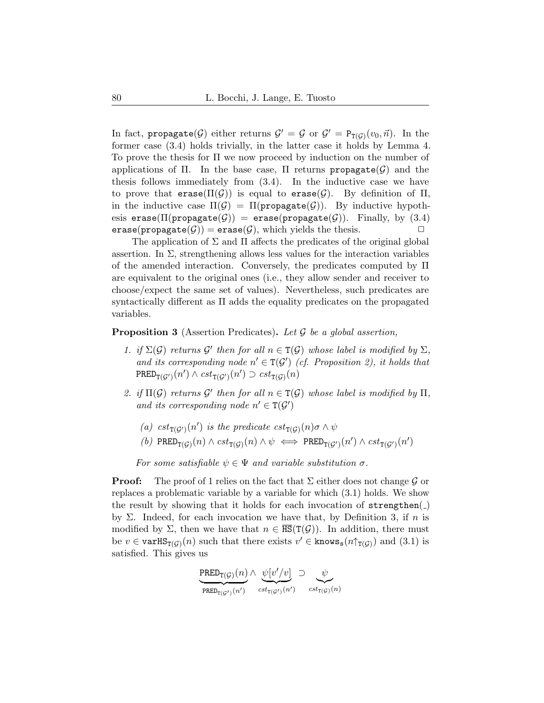In fact, propagate( $G$ ) either returns  $G' = G$  or  $G' = P_{T(G)}(v_0, \vec{n})$ . In the former case [\(3.4\)](#page-18-2) holds trivially, in the latter case it holds by Lemma [4.](#page-17-3) To prove the thesis for Π we now proceed by induction on the number of applications of Π. In the base case,  $\Pi$  returns propagate( $\mathcal G$ ) and the thesis follows immediately from [\(3.4\)](#page-18-2). In the inductive case we have to prove that erase( $\Pi(\mathcal{G})$ ) is equal to erase( $\mathcal{G}$ ). By definition of  $\Pi$ , in the inductive case  $\Pi(\mathcal{G}) = \Pi(\text{propagate}(\mathcal{G}))$ . By inductive hypothesis erase( $\Pi$ (propagate( $G$ )) = erase(propagate( $G$ )). Finally, by [\(3.4\)](#page-18-2)<br>erase(propagate( $G$ )) = erase( $G$ ), which vields the thesis. erase(propagate( $\mathcal{G}$ )) = erase( $\mathcal{G}$ ), which yields the thesis.

The application of  $\Sigma$  and  $\Pi$  affects the predicates of the original global assertion. In  $\Sigma$ , strengthening allows less values for the interaction variables of the amended interaction. Conversely, the predicates computed by Π are equivalent to the original ones (i.e., they allow sender and receiver to choose/expect the same set of values). Nevertheless, such predicates are syntactically different as Π adds the equality predicates on the propagated variables.

### <span id="page-19-4"></span><span id="page-19-0"></span>**Proposition 3** (Assertion Predicates). Let  $\mathcal G$  be a global assertion,

- 1. if  $\Sigma(\mathcal{G})$  returns  $\mathcal{G}'$  then for all  $n \in \Gamma(\mathcal{G})$  whose label is modified by  $\Sigma$ , and its corresponding node  $n' \in T(G')$  (cf. Proposition [2\)](#page-18-0), it holds that  $\texttt{PRED}_{\texttt{T}(\mathcal{G}')}(n') \land \textit{cst}_{\texttt{T}(\mathcal{G}')}(n') \supset \textit{cst}_{\texttt{T}(\mathcal{G})}(n)$
- <span id="page-19-2"></span><span id="page-19-1"></span>2. if  $\Pi(\mathcal{G})$  returns  $\mathcal{G}'$  then for all  $n \in \mathcal{T}(\mathcal{G})$  whose label is modified by  $\Pi$ , and its corresponding node  $n' \in T(G')$ 
	- (a)  $cst_{\mathsf{T}(\mathcal{G}')}(n')$  is the predicate  $cst_{\mathsf{T}(\mathcal{G})}(n)\sigma \wedge \psi$
	- $(b)\ \ \texttt{PRED}_{\texttt{T}(\mathcal{G})}(n) \wedge \mathit{cst}_{\texttt{T}(\mathcal{G})}(n) \wedge \psi \iff \texttt{PRED}_{\texttt{T}(\mathcal{G}')}(n') \wedge \mathit{cst}_{\texttt{T}(\mathcal{G}')}(n')$

<span id="page-19-3"></span>For some satisfiable  $\psi \in \Psi$  and variable substitution  $\sigma$ .

**Proof:** The proof of [1](#page-19-0) relies on the fact that  $\Sigma$  either does not change  $\mathcal G$  or replaces a problematic variable by a variable for which [\(3.1\)](#page-11-1) holds. We show the result by showing that it holds for each invocation of  $\texttt{strengthen}(\_)$ by  $\Sigma$ . Indeed, for each invocation we have that, by Definition [3,](#page-10-1) if n is modified by  $\Sigma$ , then we have that  $n \in \overline{\text{HS}}(\text{T}(\mathcal{G}))$ . In addition, there must be  $v \in \text{varHS}_{T(\mathcal{G})}(n)$  such that there exists  $v' \in \text{knows}_{s}(n \uparrow_{T(\mathcal{G})})$  and  $(3.1)$  is satisfied. This gives us

$$
\underbrace{\mathrm{PRED}_{\mathrm{T}(\mathcal{G})}(n)}_{\mathrm{PRED}_{\mathrm{T}(\mathcal{G}')}(n')} \wedge \underbrace{\psi[v'/v]}_{cst_{\mathrm{T}(\mathcal{G}')} (n')} \supset \underbrace{\psi}_{cst_{\mathrm{T}(\mathcal{G})}(n)}
$$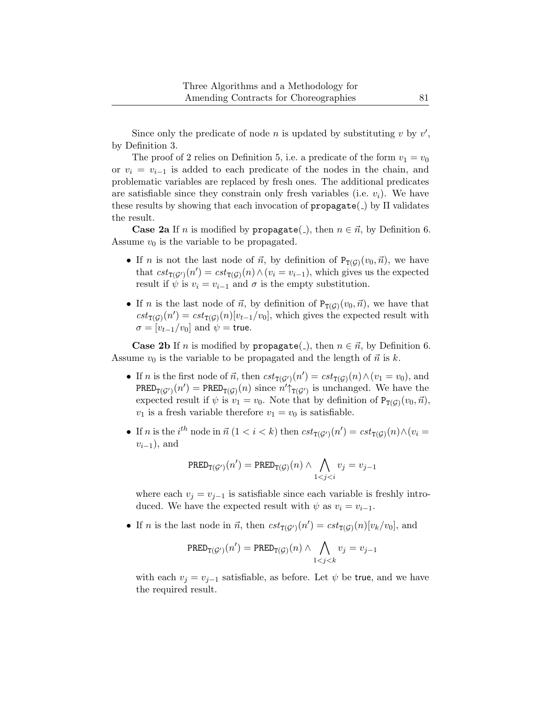Since only the predicate of node n is updated by substituting  $v$  by  $v'$ , by Definition [3.](#page-10-1)

The proof of [2](#page-19-1) relies on Definition [5,](#page-12-2) i.e. a predicate of the form  $v_1 = v_0$ or  $v_i = v_{i-1}$  is added to each predicate of the nodes in the chain, and problematic variables are replaced by fresh ones. The additional predicates are satisfiable since they constrain only fresh variables (i.e.  $v_i$ ). We have these results by showing that each invocation of  $propagate(\_)$  by  $\Pi$  validates the result.

**Case [2a](#page-19-2)** If n is modified by propagate( $\Box$ ), then  $n \in \vec{n}$ , by Definition [6.](#page-13-1) Assume  $v_0$  is the variable to be propagated.

- If *n* is not the last node of  $\vec{n}$ , by definition of  $P_{T(G)}(v_0, \vec{n})$ , we have that  $cst_{\mathsf{T}(\mathcal{G}')}(n') = cst_{\mathsf{T}(\mathcal{G})}(n) \wedge (v_i = v_{i-1}),$  which gives us the expected result if  $\psi$  is  $v_i = v_{i-1}$  and  $\sigma$  is the empty substitution.
- If *n* is the last node of  $\vec{n}$ , by definition of  $P_{T(\mathcal{G})}(v_0, \vec{n})$ , we have that  $cst_{\texttt{T}(\mathcal{G})}(n') = cst_{\texttt{T}(\mathcal{G})}(n)[v_{t-1}/v_0],$  which gives the expected result with  $\sigma = [v_{t-1}/v_0]$  and  $\psi =$  true.

**Case [2b](#page-19-3)** If *n* is modified by propagate(\_), then  $n \in \vec{n}$ , by Definition [6.](#page-13-1) Assume  $v_0$  is the variable to be propagated and the length of  $\vec{n}$  is k.

- If *n* is the first node of  $\vec{n}$ , then  $cst_{\mathcal{T}(\mathcal{G}')}(n') = cst_{\mathcal{T}(\mathcal{G})}(n) \wedge (v_1 = v_0)$ , and PRED<sub>T(G')</sub> $(n')$  = PRED<sub>T(G)</sub> $(n)$  since  $n' \uparrow_{T(G')}$  is unchanged. We have the expected result if  $\psi$  is  $v_1 = v_0$ . Note that by definition of  $P_{T(G)}(v_0, \vec{n})$ ,  $v_1$  is a fresh variable therefore  $v_1 = v_0$  is satisfiable.
- If *n* is the *i*<sup>th</sup> node in  $\vec{n}$  (1 < *i* < *k*) then  $cst_{\text{T}(G')}(n') = cst_{\text{T}(G)}(n) \wedge (v_i =$  $v_{i-1}$ ), and

$$
\text{PRED}_{\text{T}(\mathcal{G}')}(n') = \text{PRED}_{\text{T}(\mathcal{G})}(n) \land \bigwedge_{1 < j < i} v_j = v_{j-1}
$$

where each  $v_j = v_{j-1}$  is satisfiable since each variable is freshly introduced. We have the expected result with  $\psi$  as  $v_i = v_{i-1}$ .

• If *n* is the last node in  $\vec{n}$ , then  $cst_{\text{T}(G')}(n') = cst_{\text{T}(G)}(n)[v_k/v_0]$ , and

$$
\mathrm{PRED}_{\mathrm{T}(\mathcal{G}')}(n') = \mathrm{PRED}_{\mathrm{T}(\mathcal{G})}(n) \wedge \bigwedge_{1 < j < k} v_j = v_{j-1}
$$

with each  $v_j = v_{j-1}$  satisfiable, as before. Let  $\psi$  be true, and we have the required result.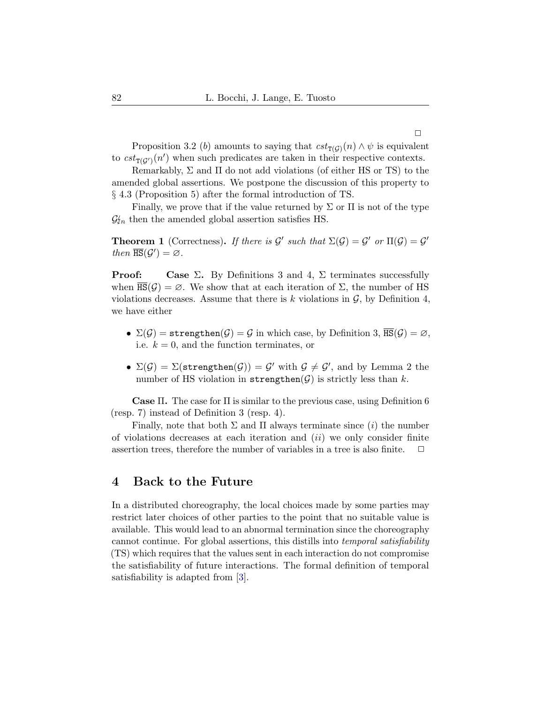Proposition [3](#page-19-4)[.2](#page-19-1) (b) amounts to saying that  $cst_{\mathcal{T}(\mathcal{G})}(n) \wedge \psi$  is equivalent to  $cst_{T(\mathcal{G})}(n')$  when such predicates are taken in their respective contexts.

Remarkably,  $\Sigma$  and  $\Pi$  do not add violations (of either HS or TS) to the amended global assertions. We postpone the discussion of this property to § [4.3](#page-29-2) (Proposition [5\)](#page-29-1) after the formal introduction of TS.

Finally, we prove that if the value returned by  $\Sigma$  or  $\Pi$  is not of the type  $\mathcal{G}_{\ell n}$  then the amended global assertion satisfies HS.

<span id="page-21-0"></span>**Theorem 1** (Correctness). If there is  $\mathcal{G}'$  such that  $\Sigma(\mathcal{G}) = \mathcal{G}'$  or  $\Pi(\mathcal{G}) = \mathcal{G}'$ then  $\overline{\text{HS}}(\mathcal{G}') = \emptyset$ .

**Proof:** Case  $\Sigma$ . By Definitions [3](#page-10-1) and [4,](#page-11-0)  $\Sigma$  terminates successfully when  $\overline{\text{HS}}(\mathcal{G}) = \emptyset$ . We show that at each iteration of  $\Sigma$ , the number of HS violations decreases. Assume that there is k violations in  $\mathcal{G}$ , by Definition [4,](#page-11-0) we have either

- $\Sigma(\mathcal{G}) =$  strengthen $(\mathcal{G}) = \mathcal{G}$  in which case, by Definition [3,](#page-10-1)  $\overline{HS}(\mathcal{G}) = \emptyset$ , i.e.  $k = 0$ , and the function terminates, or
- $\Sigma(\mathcal{G}) = \Sigma(\texttt{strengthen}(\mathcal{G})) = \mathcal{G}'$  with  $\mathcal{G} \neq \mathcal{G}'$ , and by Lemma [2](#page-15-1) the number of HS violation in strengthen( $G$ ) is strictly less than k.

Case Π. The case for Π is similar to the previous case, using Definition [6](#page-13-1) (resp. [7\)](#page-13-0) instead of Definition [3](#page-10-1) (resp. [4\)](#page-11-0).

Finally, note that both  $\Sigma$  and  $\Pi$  always terminate since *(i)* the number of violations decreases at each iteration and  $(ii)$  we only consider finite assertion trees, therefore the number of variables in a tree is also finite.  $\Box$ 

## <span id="page-21-1"></span>4 Back to the Future

<span id="page-21-2"></span>In a distributed choreography, the local choices made by some parties may restrict later choices of other parties to the point that no suitable value is available. This would lead to an abnormal termination since the choreography cannot continue. For global assertions, this distills into temporal satisfiability (TS) which requires that the values sent in each interaction do not compromise the satisfiability of future interactions. The formal definition of temporal satisfiability is adapted from [\[3\]](#page-42-2).

 $\Box$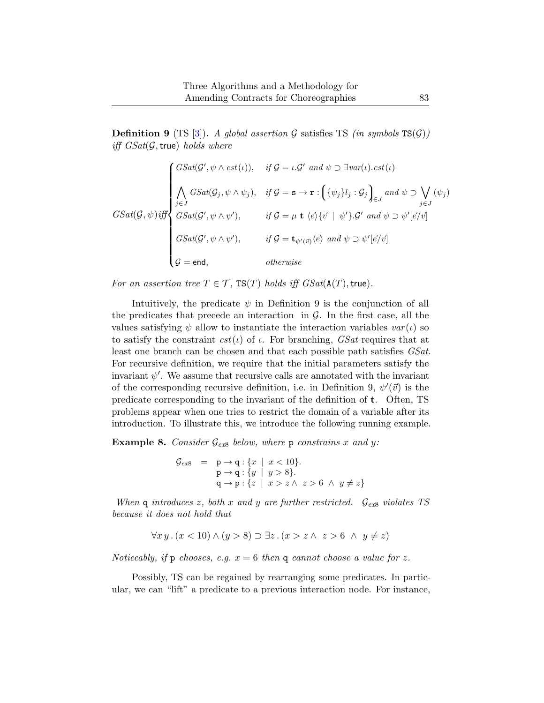**Definition 9** (TS [\[3\]](#page-42-2)). A global assertion G satisfies TS (in symbols  $TS(G)$ ) iff  $GSat(\mathcal{G}, \text{true})$  holds where

$$
GSat(\mathcal{G}, \psi) \text{ iff } \mathcal{G} = \iota \cdot \mathcal{G}' \text{ and } \psi \supset \exists var(\iota). \text{ cst}(\iota)
$$
\n
$$
GSat(\mathcal{G}, \psi) \text{ iff } \mathcal{G} = \mathbf{s} \rightarrow \mathbf{r} : \left\{ \{\psi_j\}_j : \mathcal{G}_j \right\}_{\in J} \text{ and } \psi \supset \bigvee_{j \in J} (\psi_j)
$$
\n
$$
GSat(\mathcal{G}, \psi) \text{ iff } \mathcal{G} = \mathbf{s} \rightarrow \mathbf{r} : \left\{ \{\psi_j\}_j : \mathcal{G}_j \right\}_{\in J} \text{ and } \psi \supset \bigvee_{j \in J} (\psi_j)
$$
\n
$$
GSat(\mathcal{G}', \psi \wedge \psi'), \qquad \text{ if } \mathcal{G} = \mu \mathbf{t} \langle \vec{e} \rangle \{ \vec{v} \mid \psi' \} . \mathcal{G}' \text{ and } \psi \supset \psi' [\vec{e}/\vec{v}]
$$
\n
$$
\mathcal{G} = \mathbf{c} \mathbf{d}, \qquad \text{ otherwise}
$$

For an assertion tree  $T \in \mathcal{T}$ , TS(T) holds iff  $GSat(A(T), true)$ .

Intuitively, the predicate  $\psi$  in Definition [9](#page-21-2) is the conjunction of all the predicates that precede an interaction in  $\mathcal{G}$ . In the first case, all the values satisfying  $\psi$  allow to instantiate the interaction variables  $var(t)$  so to satisfy the constraint  $cst(\iota)$  of  $\iota$ . For branching, *GSat* requires that at least one branch can be chosen and that each possible path satisfies *GSat*. For recursive definition, we require that the initial parameters satisfy the invariant  $\psi'$ . We assume that recursive calls are annotated with the invariant of the corresponding recursive definition, i.e. in Definition [9,](#page-21-2)  $\psi'(\vec{v})$  is the predicate corresponding to the invariant of the definition of t. Often, TS problems appear when one tries to restrict the domain of a variable after its introduction. To illustrate this, we introduce the following running example.

<span id="page-22-0"></span>**Example [8](#page-22-0).** Consider  $\mathcal{G}_{ex8}$  below, where p constrains x and y:

$$
G_{ex8} = p \rightarrow q : \{x \mid x < 10\}. \\
 p \rightarrow q : \{y \mid y > 8\}. \\
 q \rightarrow p : \{z \mid x > z \land z > 6 \land y \neq z\}
$$

When q introduces z, both x and y are further restricted.  $\mathcal{G}_{ex8}$  $\mathcal{G}_{ex8}$  $\mathcal{G}_{ex8}$  violates TS because it does not hold that

$$
\forall x \, y \,.\, (x < 10) \land (y > 8) \supset \exists z \,.\, (x > z \land z > 6 \land y \neq z)
$$

Noticeably, if p chooses, e.g.  $x = 6$  then q cannot choose a value for z.

Possibly, TS can be regained by rearranging some predicates. In particular, we can "lift" a predicate to a previous interaction node. For instance,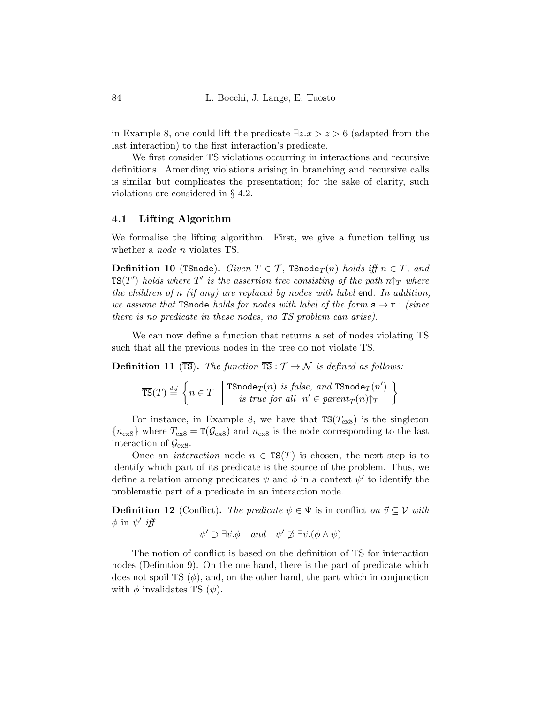in Example [8,](#page-22-0) one could lift the predicate  $\exists z.x > z > 6$  (adapted from the last interaction) to the first interaction's predicate.

We first consider TS violations occurring in interactions and recursive definitions. Amending violations arising in branching and recursive calls is similar but complicates the presentation; for the sake of clarity, such violations are considered in § [4.2.](#page-27-0)

#### 4.1 Lifting Algorithm

We formalise the lifting algorithm. First, we give a function telling us whether a *node n* violates TS.

**Definition 10** (TSnode). Given  $T \in \mathcal{T}$ , TSnode $_T(n)$  holds iff  $n \in T$ , and  $\texttt{TS}(T')$  holds where  $T'$  is the assertion tree consisting of the path  $n\uparrow_T$  where the children of n (if any) are replaced by nodes with label end. In addition, we assume that TSnode holds for nodes with label of the form  $s \rightarrow r$  : (since there is no predicate in these nodes, no TS problem can arise).

We can now define a function that returns a set of nodes violating TS such that all the previous nodes in the tree do not violate TS.

<span id="page-23-1"></span>**Definition 11** (TS). The function  $\overline{TS}: \mathcal{T} \to \mathcal{N}$  is defined as follows:

$$
\overline{\text{TS}}(T) \stackrel{\text{\tiny def}}{=} \left\{ n \in T \quad \middle| \begin{array}{c} \text{TSnode}_T(n) \textit{ is false, and } \text{TSnode}_T(n') \\ \textit{is true for all } \; n' \in parent_T(n) \hspace{-0.5mm} \uparrow_T \end{array} \right\}
$$

For instance, in Example [8,](#page-22-0) we have that  $\overline{\text{TS}}(T_{\text{ex8}})$  $\overline{\text{TS}}(T_{\text{ex8}})$  $\overline{\text{TS}}(T_{\text{ex8}})$  is the singleton  ${n_{\text{ex8}}}$  ${n_{\text{ex8}}}$  ${n_{\text{ex8}}}$  where  $T_{\text{ex8}} = T(\mathcal{G}_{\text{ex8}})$  and  $n_{\text{ex8}}$  is the node corresponding to the last interaction of  $\mathcal{G}_{\text{ex}8}$ .

Once an *interaction* node  $n \in \overline{\text{TS}}(T)$  is chosen, the next step is to identify which part of its predicate is the source of the problem. Thus, we define a relation among predicates  $\psi$  and  $\phi$  in a context  $\psi'$  to identify the problematic part of a predicate in an interaction node.

<span id="page-23-0"></span>**Definition 12** (Conflict). The predicate  $\psi \in \Psi$  is in conflict on  $\vec{v} \subseteq V$  with  $\phi$  in  $\psi'$  iff

$$
\psi' \supset \exists \vec{v}.\phi \quad and \quad \psi' \not\supset \exists \vec{v}.(\phi \land \psi)
$$

The notion of conflict is based on the definition of TS for interaction nodes (Definition [9\)](#page-21-2). On the one hand, there is the part of predicate which does not spoil TS  $(\phi)$ , and, on the other hand, the part which in conjunction with  $\phi$  invalidates TS  $(\psi)$ .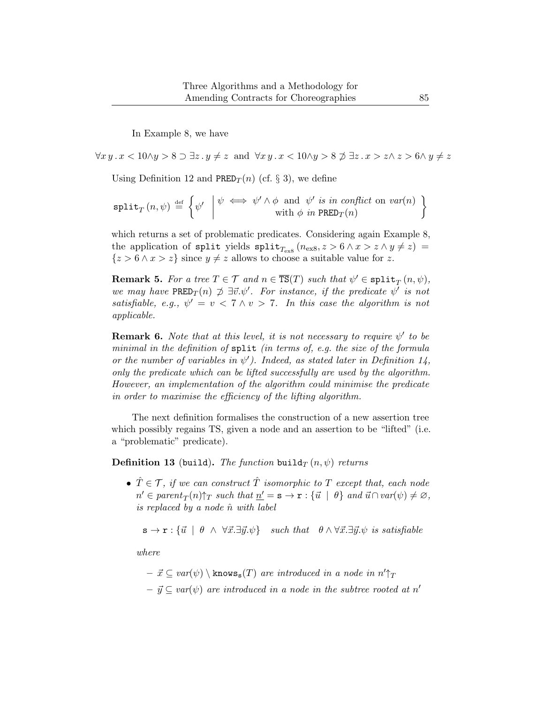In Example [8,](#page-22-0) we have

 $\forall x \, y \, . \, x < 10 \land y > 8 \supset \exists z \, . \, y \neq z \text{ and } \forall x \, y \, . \, x < 10 \land y > 8 \not\supset \exists z \, . \, x > z \land z > 6 \land y \neq z$ 

Using Definition [12](#page-23-0) and PRED $_T(n)$  (cf. § [3\)](#page-8-0), we define

$$
\texttt{split}_T(n,\psi) \stackrel{\text{def}}{=} \left\{ \psi' \mid \begin{matrix} \psi \iff \psi' \land \phi \text{ and } \psi' \text{ is in conflict on } var(n) \\ \text{with } \phi \text{ in } \text{PRED}_T(n) \end{matrix} \right\}
$$

which returns a set of problematic predicates. Considering again Example [8,](#page-22-0) the application of split yields  $\text{split}_{T_{\text{ex8}}}$  $\text{split}_{T_{\text{ex8}}}$  $\text{split}_{T_{\text{ex8}}}$   $(n_{\text{ex8}}, z > 6 \land x > z \land y \neq z)$  =  $\{z > 6 \land x > z\}$  since  $y \neq z$  allows to choose a suitable value for z.

**Remark 5.** For a tree  $T \in \mathcal{T}$  and  $n \in \overline{\text{TS}}(T)$  such that  $\psi' \in \text{split}_T(n, \psi)$ , we may have  $\texttt{PRED}_T(n) \not\supseteq \exists \vec{v}.\psi'.$  For instance, if the predicate  $\psi'$  is not satisfiable, e.g.,  $\psi' = v < 7 \wedge v > 7$ . In this case the algorithm is not applicable.

**Remark 6.** Note that at this level, it is not necessary to require  $\psi'$  to be minimal in the definition of split (in terms of, e.g. the size of the formula or the number of variables in  $\psi'$ ). Indeed, as stated later in Definition [14,](#page-25-0) only the predicate which can be lifted successfully are used by the algorithm. However, an implementation of the algorithm could minimise the predicate in order to maximise the efficiency of the lifting algorithm.

The next definition formalises the construction of a new assertion tree which possibly regains TS, given a node and an assertion to be "lifted" (i.e. a "problematic" predicate).

<span id="page-24-0"></span>**Definition 13** (build). The function build<sub>T</sub>  $(n, \psi)$  returns

•  $\hat{T} \in \mathcal{T}$ , if we can construct  $\hat{T}$  isomorphic to  $T$  except that, each node  $n' \in parent_T(n) \uparrow_T such that \underline{n'} = \mathbf{s} \to \mathbf{r} : \{\vec{u} \mid \theta\} \text{ and } \vec{u} \cap \text{var}(\psi) \neq \emptyset,$ is replaced by a node  $\hat{n}$  with label

 $\mathbf{s} \to \mathbf{r} : \{\vec{u} \mid \theta \land \forall \vec{x}. \exists \vec{y}. \psi\}$  such that  $\theta \land \forall \vec{x}. \exists \vec{y}. \psi$  is satisfiable

where

 $- \vec{x} \subseteq var(\psi) \setminus \texttt{knows}_{s}(T)$  are introduced in a node in  $n' \uparrow_T$  $- \vec{y} \subseteq \text{var}(\psi)$  are introduced in a node in the subtree rooted at n'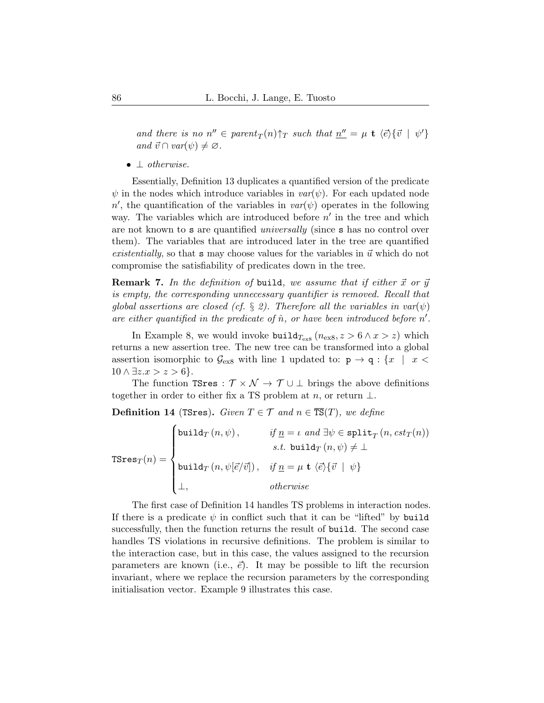and there is no  $n'' \in parent_T(n) \uparrow_T such that \underline{n''} = \mu \mathbf{t} \langle \vec{e} \rangle {\lbrace \vec{v} | \psi' \rbrace}$ and  $\vec{v} \cap \text{var}(\psi) \neq \emptyset$ .

• ⊥ otherwise.

Essentially, Definition [13](#page-24-0) duplicates a quantified version of the predicate  $\psi$  in the nodes which introduce variables in  $var(\psi)$ . For each updated node n', the quantification of the variables in  $var(\psi)$  operates in the following way. The variables which are introduced before  $n'$  in the tree and which are not known to s are quantified universally (since s has no control over them). The variables that are introduced later in the tree are quantified existentially, so that s may choose values for the variables in  $\vec{u}$  which do not compromise the satisfiability of predicates down in the tree.

**Remark 7.** In the definition of build, we assume that if either  $\vec{x}$  or  $\vec{y}$ is empty, the corresponding unnecessary quantifier is removed. Recall that global assertions are closed (cf. § [2\)](#page-3-0). Therefore all the variables in  $var(\psi)$ are either quantified in the predicate of  $\hat{n}$ , or have been introduced before  $n'$ .

In Example [8,](#page-22-0) we would invoke  $\text{build}_{T_{\text{ex8}}}\left(n_{\text{ex8}}, z > 6 \land x > z\right)$  $\text{build}_{T_{\text{ex8}}}\left(n_{\text{ex8}}, z > 6 \land x > z\right)$  $\text{build}_{T_{\text{ex8}}}\left(n_{\text{ex8}}, z > 6 \land x > z\right)$  which returns a new assertion tree. The new tree can be transformed into a global assertion isomorphic to  $\mathcal{G}_{\text{ex8}}$  $\mathcal{G}_{\text{ex8}}$  $\mathcal{G}_{\text{ex8}}$  with line 1 updated to:  $p \rightarrow q : \{x \mid x \leq x\}$  $10 \wedge \exists z.x > z > 6$ .

The function TSres :  $\mathcal{T} \times \mathcal{N} \to \mathcal{T} \cup \bot$  brings the above definitions together in order to either fix a TS problem at n, or return  $\perp$ .

<span id="page-25-0"></span>**Definition 14** (TSres). Given  $T \in \mathcal{T}$  and  $n \in \overline{\text{TS}}(T)$ , we define

 $\mathtt{TSres}_T(n) =$  $\sqrt{ }$  $\int$  $\overline{\mathcal{L}}$ build $T(n,\psi)$ , if  $\underline{n} = \iota$  and  $\exists \psi \in \texttt{split}_T(n, cst_T(n))$ *s.t.* build $T(n, \psi) \neq \bot$ build $_T(n, \psi[\vec{e}/\vec{v}])$ ,  $if \underline{n} = \mu \mathbf{t} \langle \vec{e} \rangle {\{\vec{v} \mid \psi\}}$  $\perp,$  otherwise

<span id="page-25-1"></span>The first case of Definition [14](#page-25-0) handles TS problems in interaction nodes. If there is a predicate  $\psi$  in conflict such that it can be "lifted" by build successfully, then the function returns the result of build. The second case handles TS violations in recursive definitions. The problem is similar to the interaction case, but in this case, the values assigned to the recursion parameters are known (i.e.,  $\vec{e}$ ). It may be possible to lift the recursion invariant, where we replace the recursion parameters by the corresponding initialisation vector. Example [9](#page-25-1) illustrates this case.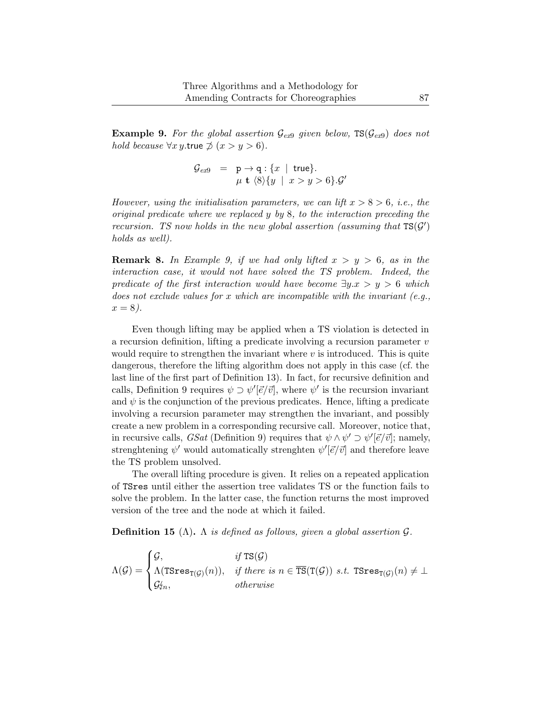**Example [9](#page-25-1).** For the global assertion  $\mathcal{G}_{\epsilon x}$  given below,  $TS(\mathcal{G}_{\epsilon x}$  does not hold because  $\forall x \, y$ .true  $\not\supset (x > y > 6)$ .

$$
\begin{array}{rcl}\n\mathcal{G}_{ex9} & = & \mathsf{p} \to \mathsf{q}: \{x \mid \mathsf{true}\} \\
& \mu \mathsf{t} \langle 8 \rangle \{y \mid x > y > 6\}.\mathcal{G}'\n\end{array}
$$

However, using the initialisation parameters, we can lift  $x > 8 > 6$ , i.e., the original predicate where we replaced y by 8, to the interaction preceding the recursion. TS now holds in the new global assertion (assuming that  $TS(G')$ ) holds as well).

**Remark 8.** In Example [9,](#page-25-1) if we had only lifted  $x > y > 6$ , as in the interaction case, it would not have solved the TS problem. Indeed, the predicate of the first interaction would have become  $\exists y.x > y > 6$  which does not exclude values for x which are incompatible with the invariant  $(e.q.,)$  $x = 8$ ).

Even though lifting may be applied when a TS violation is detected in a recursion definition, lifting a predicate involving a recursion parameter  $v$ would require to strengthen the invariant where  $v$  is introduced. This is quite dangerous, therefore the lifting algorithm does not apply in this case (cf. the last line of the first part of Definition [13\)](#page-24-0). In fact, for recursive definition and calls, Definition [9](#page-21-2) requires  $\psi \supset \psi'[\vec{e}/\vec{v}]$ , where  $\psi'$  is the recursion invariant and  $\psi$  is the conjunction of the previous predicates. Hence, lifting a predicate involving a recursion parameter may strengthen the invariant, and possibly create a new problem in a corresponding recursive call. Moreover, notice that, in recursive calls,  $GSat$  (Definition [9\)](#page-21-2) requires that  $\psi \wedge \psi' \supset \psi'[\vec{e}/\vec{v}]$ ; namely, strenghtening  $\psi'$  would automatically strenghten  $\psi'[\vec{e}/\vec{v}]$  and therefore leave the TS problem unsolved.

The overall lifting procedure is given. It relies on a repeated application of TSres until either the assertion tree validates TS or the function fails to solve the problem. In the latter case, the function returns the most improved version of the tree and the node at which it failed.

<span id="page-26-0"></span>**Definition 15** ( $\Lambda$ ).  $\Lambda$  is defined as follows, given a global assertion  $\mathcal{G}$ .

$$
\Lambda(G) = \begin{cases} \mathcal{G}, & \text{if } \text{TS}(\mathcal{G}) \\ \Lambda(\text{TSres}_{\text{T}(\mathcal{G})}(n)), & \text{if there is } n \in \overline{\text{TS}}(\text{T}(\mathcal{G})) \text{ s.t. } \text{TSres}_{\text{T}(\mathcal{G})}(n) \neq \bot \\ \mathcal{G}'_{\mathcal{I}n}, & \text{otherwise} \end{cases}
$$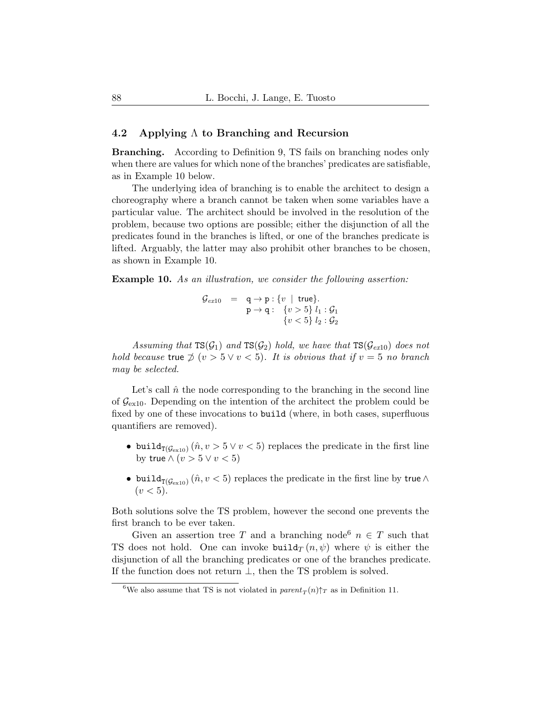#### <span id="page-27-0"></span>4.2 Applying Λ to Branching and Recursion

Branching. According to Definition [9,](#page-21-2) TS fails on branching nodes only when there are values for which none of the branches' predicates are satisfiable, as in Example [10](#page-27-1) below.

The underlying idea of branching is to enable the architect to design a choreography where a branch cannot be taken when some variables have a particular value. The architect should be involved in the resolution of the problem, because two options are possible; either the disjunction of all the predicates found in the branches is lifted, or one of the branches predicate is lifted. Arguably, the latter may also prohibit other branches to be chosen, as shown in Example [10.](#page-27-1)

<span id="page-27-1"></span>Example 10. As an illustration, we consider the following assertion:

$$
\begin{array}{rcl}\n\mathcal{G}_{ex10} & = & q \rightarrow p : \{v \mid \text{true}\} \\
& p \rightarrow q : \{v > 5\} \ l_1 : \mathcal{G}_1 \\
& \{v < 5\} \ l_2 : \mathcal{G}_2\n\end{array}
$$

Assuming that  $TS(\mathcal{G}_1)$  and  $TS(\mathcal{G}_2)$  hold, we have that  $TS(\mathcal{G}_{ex10})$  $TS(\mathcal{G}_{ex10})$  $TS(\mathcal{G}_{ex10})$  does not hold because true  $\phi(v > 5 \vee v < 5)$ . It is obvious that if  $v = 5$  no branch may be selected.

Let's call  $\hat{n}$  the node corresponding to the branching in the second line of  $\mathcal{G}_{\text{ex10}}$  $\mathcal{G}_{\text{ex10}}$  $\mathcal{G}_{\text{ex10}}$ . Depending on the intention of the architect the problem could be fixed by one of these invocations to build (where, in both cases, superfluous quantifiers are removed).

- build $_{T(\mathcal{G}_{ext10})}(\hat{n}, v > 5 \vee v < 5)$  replaces the predicate in the first line by true  $\wedge (v > 5 \vee v < 5)$
- build $_{T(\mathcal{G}_{ext10})}$   $(\hat{n}, v < 5)$  replaces the predicate in the first line by true  $\wedge$  $(v < 5)$ .

Both solutions solve the TS problem, however the second one prevents the first branch to be ever taken.

Given an assertion tree T and a branching node<sup>[6](#page-27-2)</sup>  $n \in T$  such that TS does not hold. One can invoke build $_T(n, \psi)$  where  $\psi$  is either the disjunction of all the branching predicates or one of the branches predicate. If the function does not return  $\perp$ , then the TS problem is solved.

<span id="page-27-2"></span><sup>&</sup>lt;sup>6</sup>We also assume that TS is not violated in  $parent_T(n)$ <sup> $\uparrow$ </sup>T as in Definition [11.](#page-23-1)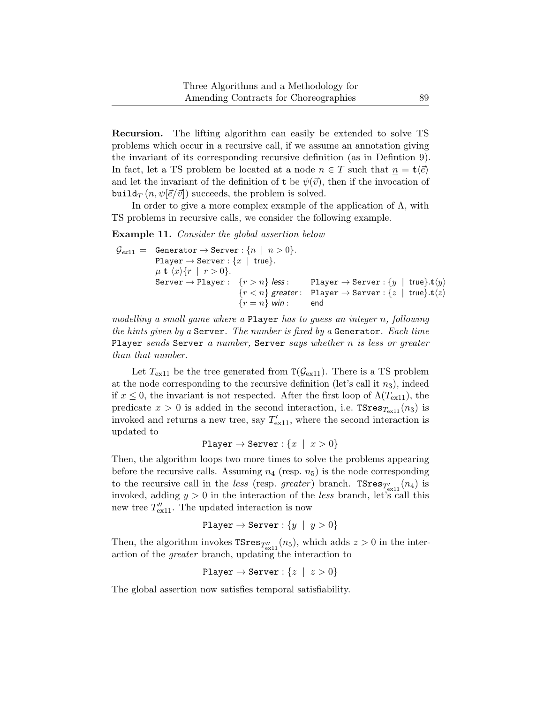Recursion. The lifting algorithm can easily be extended to solve TS problems which occur in a recursive call, if we assume an annotation giving the invariant of its corresponding recursive definition (as in Defintion [9\)](#page-21-2). In fact, let a TS problem be located at a node  $n \in T$  such that  $n = \mathbf{t} \langle \vec{e} \rangle$ and let the invariant of the definition of **t** be  $\psi(\vec{v})$ , then if the invocation of build<sub>T</sub>  $(n, \psi | \vec{e} / \vec{v})$  succeeds, the problem is solved.

In order to give a more complex example of the application of  $\Lambda$ , with TS problems in recursive calls, we consider the following example.

<span id="page-28-0"></span>Example 11. Consider the global assertion below

$$
\begin{array}{ll}\mathcal{G}_{ex11} = & \text{Generator} \rightarrow \text{Server}: \{n \mid n > 0\}.\\ \text{Player} \rightarrow \text{Server}: \{x \mid \text{true}\}.\\ \mu \text{ t } \langle x \rangle \{r \mid r > 0\}.\\ \text{Server} \rightarrow \text{Player}: & \{r > n\} \text{ less}:\\ \text{Player} \rightarrow \text{Server}: \{y \mid \text{true}\}.t\langle y \rangle\\ & \{r < n\} \text{ greater}: \text{ Player} \rightarrow \text{Server}: \{z \mid \text{true}\}.t\langle z \rangle\\ & \{r = n\} \text{ win}:\\ \end{array}
$$

modelling a small game where a Player has to guess an integer n, following the hints given by a Server. The number is fixed by a Generator. Each time Player sends Server a number, Server says whether n is less or greater than that number.

Let  $T_{\text{ex}11}$  be the tree generated from  $T(\mathcal{G}_{\text{ex}11})$ . There is a TS problem at the node corresponding to the recursive definition (let's call it  $n_3$ ), indeed if  $x \leq 0$ , the invariant is not respected. After the first loop of  $\Lambda(T_{\rm ex11})$  $\Lambda(T_{\rm ex11})$  $\Lambda(T_{\rm ex11})$ , the predicate  $x > 0$  is added in the second interaction, i.e.  $TSres_{T_{ex11}}(n_3)$  $TSres_{T_{ex11}}(n_3)$  $TSres_{T_{ex11}}(n_3)$  is invoked and returns a new tree, say  $T'_{\text{ex}11}$ , where the second interaction is updated to

$$
\mathtt{Player} \to \mathtt{Server} : \{x \mid x > 0\}
$$

Then, the algorithm loops two more times to solve the problems appearing before the recursive calls. Assuming  $n_4$  (resp.  $n_5$ ) is the node corresponding to the recursive call in the *less* (resp. *greater*) branch.  $\texttt{TSres}_{T'_{\text{ex}11}}(n_4)$  is invoked, adding  $y > 0$  in the interaction of the *less* branch, let's call this new tree  $T''_{\text{ex}11}$ . The updated interaction is now

```
Player \rightarrow Server : \{y \mid y > 0\}
```
Then, the algorithm invokes  $\text{TSres}_{T''_{\text{ex}11}}(n_5)$ , which adds  $z > 0$  in the interaction of the greater branch, updating the interaction to

$$
\texttt{Player} \to \texttt{Server}: \{z \mid z > 0\}
$$

The global assertion now satisfies temporal satisfiability.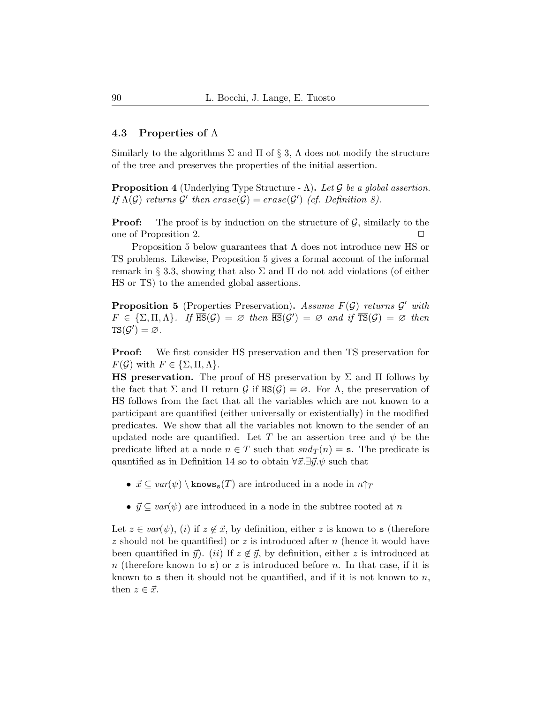#### <span id="page-29-2"></span>4.3 Properties of  $\Lambda$

Similarly to the algorithms  $\Sigma$  and  $\Pi$  of  $\S$  [3,](#page-8-0)  $\Lambda$  does not modify the structure of the tree and preserves the properties of the initial assertion.

<span id="page-29-0"></span>**Proposition 4** (Underlying Type Structure -  $\Lambda$ ). Let G be a global assertion. If  $\Lambda(\mathcal{G})$  returns  $\mathcal{G}'$  then  $\text{erase}(\mathcal{G}) = \text{erase}(\mathcal{G}')$  (cf. Definition [8\)](#page-17-0).

**Proof:** The proof is by induction on the structure of  $\mathcal{G}$ , similarly to the one of Proposition [2.](#page-18-0)

Proposition [5](#page-29-1) below guarantees that Λ does not introduce new HS or TS problems. Likewise, Proposition [5](#page-29-1) gives a formal account of the informal remark in § [3.3,](#page-14-0) showing that also Σ and Π do not add violations (of either HS or TS) to the amended global assertions.

<span id="page-29-1"></span>**Proposition 5** (Properties Preservation). Assume  $F(\mathcal{G})$  returns  $\mathcal{G}'$  with  $F \in {\Sigma, \Pi, \Lambda}.$  If  $\overline{\text{HS}}(\mathcal{G}) = \emptyset$  then  $\overline{\text{HS}}(\mathcal{G}') = \emptyset$  and if  $\overline{\text{TS}}(\mathcal{G}) = \emptyset$  then  $\overline{\text{TS}}(\mathcal{G}') = \varnothing$ .

Proof: We first consider HS preservation and then TS preservation for  $F(\mathcal{G})$  with  $F \in \{\Sigma, \Pi, \Lambda\}.$ 

**HS preservation.** The proof of HS preservation by  $\Sigma$  and  $\Pi$  follows by the fact that  $\Sigma$  and  $\Pi$  return  $\mathcal G$  if  $\overline{HS}(\mathcal G) = \emptyset$ . For  $\Lambda$ , the preservation of HS follows from the fact that all the variables which are not known to a participant are quantified (either universally or existentially) in the modified predicates. We show that all the variables not known to the sender of an updated node are quantified. Let T be an assertion tree and  $\psi$  be the predicate lifted at a node  $n \in T$  such that  $snd_T(n) = s$ . The predicate is quantified as in Definition [14](#page-25-0) so to obtain  $\forall \vec{x}.\exists \vec{y}.\psi$  such that

- $\vec{x} \subseteq \text{var}(\psi) \setminus \text{knows}_{s}(T)$  are introduced in a node in  $n \uparrow_T$
- $\vec{y} \subseteq \text{var}(\psi)$  are introduced in a node in the subtree rooted at n

Let  $z \in var(\psi)$ , (i) if  $z \notin \vec{x}$ , by definition, either z is known to s (therefore z should not be quantified) or z is introduced after  $n$  (hence it would have been quantified in  $\vec{y}$ . (ii) If  $z \notin \vec{y}$ , by definition, either z is introduced at n (therefore known to s) or z is introduced before n. In that case, if it is known to s then it should not be quantified, and if it is not known to  $n$ , then  $z \in \vec{x}$ .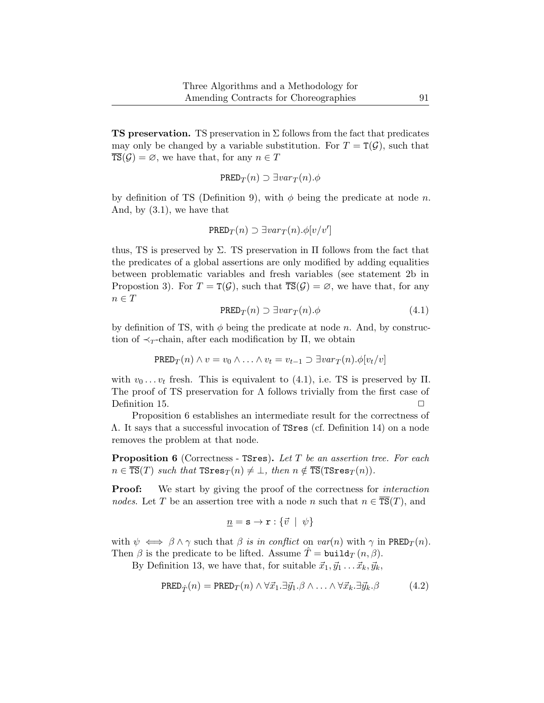**TS preservation.** TS preservation in  $\Sigma$  follows from the fact that predicates may only be changed by a variable substitution. For  $T = T(\mathcal{G})$ , such that  $\overline{\text{TS}}(\mathcal{G}) = \emptyset$ , we have that, for any  $n \in T$ 

$$
\texttt{PRED}_T(n) \supset \exists var_T(n). \phi
$$

by definition of TS (Definition [9\)](#page-21-2), with  $\phi$  being the predicate at node n. And, by [\(3.1\)](#page-11-1), we have that

$$
\texttt{PRED}_T(n) \supset \exists \textit{var}_T(n) . \phi[\textit{v}/\textit{v}']
$$

thus, TS is preserved by  $\Sigma$ . TS preservation in  $\Pi$  follows from the fact that the predicates of a global assertions are only modified by adding equalities between problematic variables and fresh variables (see statement [2b](#page-19-3) in Propostion [3\)](#page-19-4). For  $T = T(\mathcal{G})$ , such that  $\overline{TS}(\mathcal{G}) = \emptyset$ , we have that, for any  $n \in T$ 

$$
\text{PRED}_T(n) \supset \exists var_T(n). \phi \tag{4.1}
$$

<span id="page-30-0"></span>by definition of TS, with  $\phi$  being the predicate at node n. And, by construction of  $\prec_T$ -chain, after each modification by Π, we obtain

PRED<sub>T</sub>
$$
(n) \wedge v = v_0 \wedge \ldots \wedge v_t = v_{t-1} \supset \exists var_T(n) . \phi[v_t/v]
$$

with  $v_0 \dots v_t$  fresh. This is equivalent to [\(4.1\)](#page-30-0), i.e. TS is preserved by  $\Pi$ . The proof of TS preservation for  $\Lambda$  follows trivially from the first case of Definition [15.](#page-26-0)

Proposition [6](#page-30-1) establishes an intermediate result for the correctness of Λ. It says that a successful invocation of TSres (cf. Definition [14\)](#page-25-0) on a node removes the problem at that node.

<span id="page-30-1"></span>**Proposition 6** (Correctness - TSres). Let  $T$  be an assertion tree. For each  $n \in \overline{\text{TS}}(T)$  such that  $\text{TSres}_T(n) \neq \bot$ , then  $n \notin \overline{\text{TS}}(\text{TSres}_T(n))$ .

**Proof:** We start by giving the proof of the correctness for *interaction* nodes. Let T be an assertion tree with a node n such that  $n \in \overline{\text{TS}}(T)$ , and

$$
\underline{n} = \mathbf{s} \to \mathbf{r} : \{ \vec{v} \mid \psi \}
$$

with  $\psi \iff \beta \land \gamma$  such that  $\beta$  is in conflict on var(n) with  $\gamma$  in PRED<sub>T</sub>(n). Then  $\beta$  is the predicate to be lifted. Assume  $\hat{T} = \text{build}_{T} (n, \beta)$ .

By Definition [13,](#page-24-0) we have that, for suitable  $\vec{x}_1, \vec{y}_1 \ldots \vec{x}_k, \vec{y}_k$ ,

$$
\text{PRED}_{\hat{T}}(n) = \text{PRED}_{T}(n) \land \forall \vec{x}_1. \exists \vec{y}_1. \beta \land \dots \land \forall \vec{x}_k. \exists \vec{y}_k. \beta \tag{4.2}
$$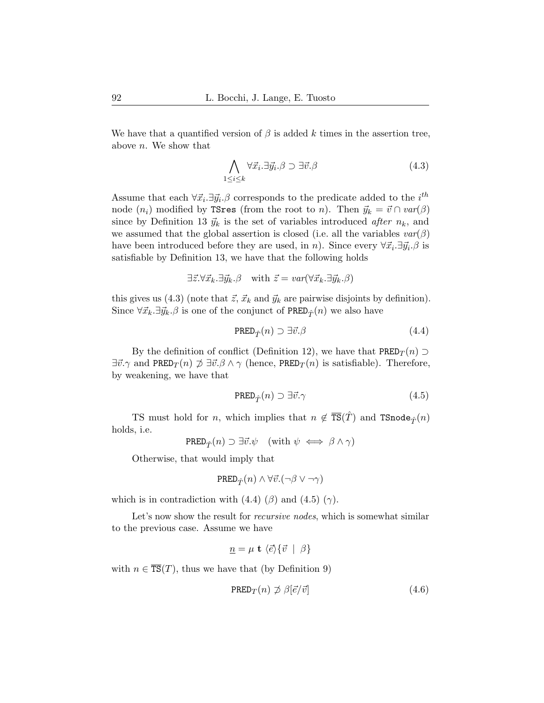We have that a quantified version of  $\beta$  is added k times in the assertion tree, above n. We show that

<span id="page-31-0"></span>
$$
\bigwedge_{1 \le i \le k} \forall \vec{x}_i . \exists \vec{y}_i . \beta \supset \exists \vec{v} . \beta \tag{4.3}
$$

Assume that each  $\forall \vec{x}_i \exists \vec{y}_i \, \beta$  corresponds to the predicate added to the  $i^{th}$ node  $(n_i)$  modified by TSres (from the root to n). Then  $\vec{y}_k = \vec{v} \cap \text{var}(\beta)$ since by Definition [13](#page-24-0)  $\vec{y}_k$  is the set of variables introduced after  $n_k$ , and we assumed that the global assertion is closed (i.e. all the variables  $var(\beta)$ have been introduced before they are used, in *n*). Since every  $\forall \vec{x}_i \exists \vec{y}_i \ldotp \beta$  is satisfiable by Definition [13,](#page-24-0) we have that the following holds

$$
\exists \vec{z} . \forall \vec{x}_k . \exists \vec{y}_k . \beta \quad \text{with } \vec{z} = \text{var}(\forall \vec{x}_k . \exists \vec{y}_k . \beta)
$$

this gives us [\(4.3\)](#page-31-0) (note that  $\vec{z}$ ,  $\vec{x}_k$  and  $\vec{y}_k$  are pairwise disjoints by definition). Since  $\forall \vec{x}_k \exists \vec{y}_k \cdot \beta$  is one of the conjunct of PRED<sub> $\hat{T}(n)$ </sub> we also have

<span id="page-31-1"></span>
$$
\text{PRED}_{\hat{T}}(n) \supset \exists \vec{v}.\beta \tag{4.4}
$$

By the definition of conflict (Definition [12\)](#page-23-0), we have that  $PRED_{\mathcal{T}}(n) \supset$  $\exists \vec{v}.\gamma$  and PRED $_T(n) \not\supseteq \exists \vec{v}.\beta \wedge \gamma$  (hence, PRED $_T(n)$  is satisfiable). Therefore, by weakening, we have that

<span id="page-31-2"></span>
$$
\mathrm{PRED}_{\hat{T}}(n) \supset \exists \vec{v}.\gamma \tag{4.5}
$$

TS must hold for n, which implies that  $n \notin \overline{\text{TS}}(\hat{T})$  and  $\text{TSnode}_{\hat{T}}(n)$ holds, i.e.

$$
\mathtt{PRED}_{\hat{T}}(n) \supset \exists \vec{v}.\psi \quad (\text{with } \psi \iff \beta \land \gamma)
$$

Otherwise, that would imply that

$$
\mathtt{PRED}_{\hat{T}}(n) \wedge \forall \vec{v}. (\neg \beta \vee \neg \gamma)
$$

which is in contradiction with  $(4.4)$   $(\beta)$  and  $(4.5)$   $(\gamma)$ .

Let's now show the result for *recursive nodes*, which is somewhat similar to the previous case. Assume we have

<span id="page-31-3"></span>
$$
\underline{n} = \mu \mathbf{t} \langle \vec{e} \rangle \{ \vec{v} \mid \beta \}
$$

with  $n \in \overline{\text{TS}}(T)$ , thus we have that (by Definition [9\)](#page-21-2)

$$
\text{PRED}_T(n) \not\supset \beta[\vec{e}/\vec{v}] \tag{4.6}
$$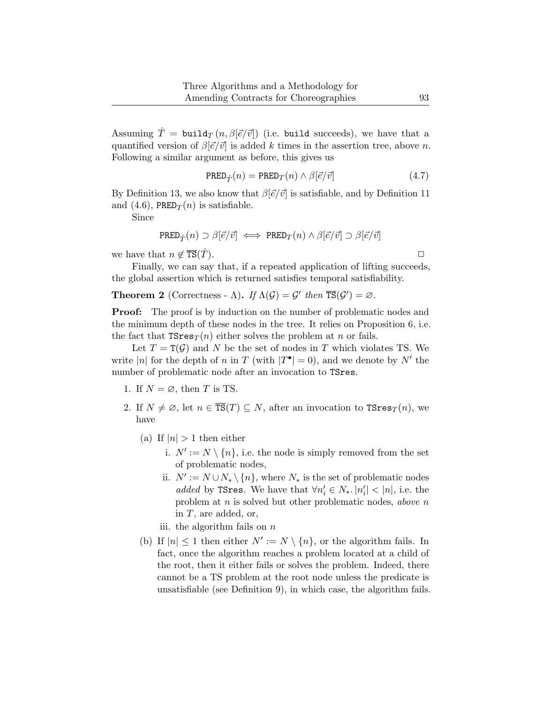Assuming  $\hat{T} = \text{build}_{T} (n, \beta | \vec{e}/\vec{v})$  (i.e. build succeeds), we have that a quantified version of  $\beta |\vec{e}/\vec{v}|$  is added k times in the assertion tree, above n. Following a similar argument as before, this gives us

$$
\text{PRED}_{\hat{T}}(n) = \text{PRED}_{T}(n) \wedge \beta[\vec{e}/\vec{v}] \tag{4.7}
$$

By Definition [13,](#page-24-0) we also know that  $\beta[\vec{e}/\vec{v}]$  is satisfiable, and by Definition [11](#page-23-1) and [\(4.6\)](#page-31-3), PRED $_T(n)$  is satisfiable.

Since

$$
\mathrm{PRED}_{\hat{T}}(n) \supset \beta[\vec{e}/\vec{v}] \iff \mathrm{PRED}_{T}(n) \wedge \beta[\vec{e}/\vec{v}] \supset \beta[\vec{e}/\vec{v}]
$$

we have that  $n \notin \overline{\text{TS}}(\hat{T}).$ 

Finally, we can say that, if a repeated application of lifting succeeds, the global assertion which is returned satisfies temporal satisfiability.

<span id="page-32-0"></span>**Theorem 2** (Correctness - Λ). If  $\Lambda(\mathcal{G}) = \mathcal{G}'$  then  $\overline{\text{TS}}(\mathcal{G}') = \emptyset$ .

**Proof:** The proof is by induction on the number of problematic nodes and the minimum depth of these nodes in the tree. It relies on Proposition [6,](#page-30-1) i.e. the fact that  $TSres_{T}(n)$  either solves the problem at n or fails.

Let  $T = T(\mathcal{G})$  and N be the set of nodes in T which violates TS. We write |n| for the depth of n in T (with  $|T^{\bullet}| = 0$ ), and we denote by N' the number of problematic node after an invocation to TSres.

- 1. If  $N = \emptyset$ , then T is TS.
- 2. If  $N \neq \emptyset$ , let  $n \in \overline{\text{TS}}(T) \subseteq N$ , after an invocation to  $\text{TSres}_T(n)$ , we have
	- (a) If  $|n| > 1$  then either
		- i.  $N' := N \setminus \{n\}$ , i.e. the node is simply removed from the set of problematic nodes,
		- ii.  $N' := N \cup N_* \setminus \{n\}$ , where  $N_*$  is the set of problematic nodes added by TSres. We have that  $\forall n'_i \in N_*$ .  $|n'_i| < |n|$ , i.e. the problem at  $n$  is solved but other problematic nodes, above  $n$ in T, are added, or,

<span id="page-32-1"></span>iii. the algorithm fails on  $n$ 

(b) If  $|n| \leq 1$  then either  $N' := N \setminus \{n\}$ , or the algorithm fails. In fact, once the algorithm reaches a problem located at a child of the root, then it either fails or solves the problem. Indeed, there cannot be a TS problem at the root node unless the predicate is unsatisfiable (see Definition [9\)](#page-21-2), in which case, the algorithm fails.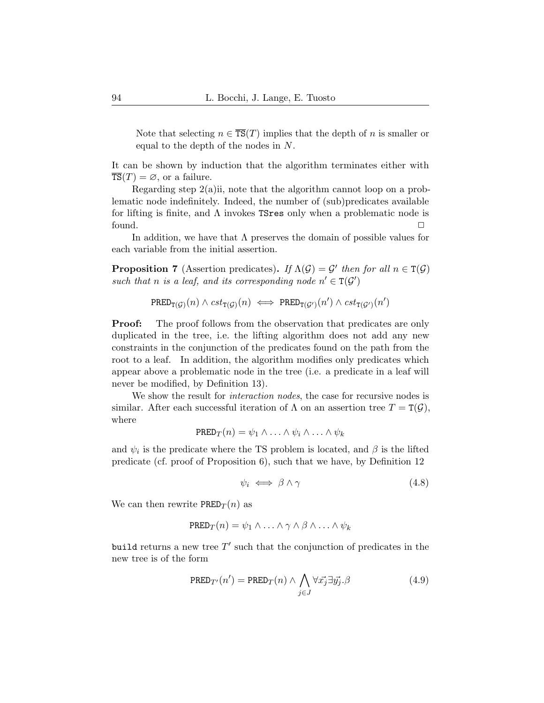Note that selecting  $n \in \overline{\text{TS}}(T)$  implies that the depth of n is smaller or equal to the depth of the nodes in N.

It can be shown by induction that the algorithm terminates either with  $\overline{\text{TS}}(T) = \emptyset$ , or a failure.

Regarding step [2\(a\)ii,](#page-32-1) note that the algorithm cannot loop on a problematic node indefinitely. Indeed, the number of (sub)predicates available for lifting is finite, and  $\Lambda$  invokes TSres only when a problematic node is found.  $\Box$ 

In addition, we have that  $\Lambda$  preserves the domain of possible values for each variable from the initial assertion.

**Proposition 7** (Assertion predicates). If  $\Lambda(\mathcal{G}) = \mathcal{G}'$  then for all  $n \in \mathcal{T}(\mathcal{G})$ such that n is a leaf, and its corresponding node  $n' \in T(G')$ 

$$
\mathrm{PRED}_{\mathrm{T}(\mathcal{G})}(n) \wedge \mathit{cst}_{\mathrm{T}(\mathcal{G})}(n) \iff \mathrm{PRED}_{\mathrm{T}(\mathcal{G}')}(n') \wedge \mathit{cst}_{\mathrm{T}(\mathcal{G}')}(n')
$$

**Proof:** The proof follows from the observation that predicates are only duplicated in the tree, i.e. the lifting algorithm does not add any new constraints in the conjunction of the predicates found on the path from the root to a leaf. In addition, the algorithm modifies only predicates which appear above a problematic node in the tree (i.e. a predicate in a leaf will never be modified, by Definition [13\)](#page-24-0).

We show the result for *interaction nodes*, the case for recursive nodes is similar. After each successful iteration of  $\Lambda$  on an assertion tree  $T = T(\mathcal{G})$ , where

$$
PRED_T(n) = \psi_1 \wedge \ldots \wedge \psi_i \wedge \ldots \wedge \psi_k
$$

and  $\psi_i$  is the predicate where the TS problem is located, and  $\beta$  is the lifted predicate (cf. proof of Proposition [6\)](#page-30-1), such that we have, by Definition [12](#page-23-0)

$$
\psi_i \iff \beta \land \gamma \tag{4.8}
$$

We can then rewrite  $\text{PRED}_T(n)$  as

$$
PRED_T(n) = \psi_1 \wedge \ldots \wedge \gamma \wedge \beta \wedge \ldots \wedge \psi_k
$$

build returns a new tree  $T'$  such that the conjunction of predicates in the new tree is of the form

$$
PRED_{T'}(n') = PRED_T(n) \wedge \bigwedge_{j \in J} \forall \vec{x_j} \exists \vec{y_j} . \beta \tag{4.9}
$$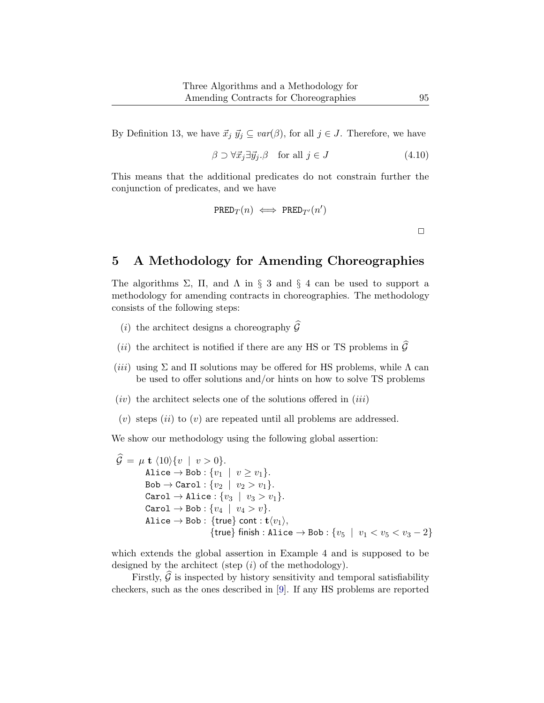By Definition [13,](#page-24-0) we have  $\vec{x}_j \ \vec{y}_j \subseteq \text{var}(\beta)$ , for all  $j \in J$ . Therefore, we have

$$
\beta \supset \forall \vec{x}_j \exists \vec{y}_j \, \beta \quad \text{for all } j \in J \tag{4.10}
$$

This means that the additional predicates do not constrain further the conjunction of predicates, and we have

$$
\mathtt{PRED}_T(n) \iff \mathtt{PRED}_{T'}(n')
$$

 $\Box$ 

## <span id="page-34-0"></span>5 A Methodology for Amending Choreographies

The algorithms  $\Sigma$ ,  $\Pi$ , and  $\Lambda$  in § [3](#page-8-0) and § [4](#page-21-1) can be used to support a methodology for amending contracts in choreographies. The methodology consists of the following steps:

- (*i*) the architect designs a choreography  $\widehat{\mathcal{G}}$
- (*ii*) the architect is notified if there are any HS or TS problems in  $\widehat{G}$
- (iii) using  $\Sigma$  and  $\Pi$  solutions may be offered for HS problems, while  $\Lambda$  can be used to offer solutions and/or hints on how to solve TS problems
- $(iv)$  the architect selects one of the solutions offered in  $(iii)$
- $(v)$  steps  $(ii)$  to  $(v)$  are repeated until all problems are addressed.

We show our methodology using the following global assertion:

 $\widehat{\mathcal{G}} = \mu \mathbf{t} \langle 10 \rangle \{v \mid v > 0\}.$ Alice  $\rightarrow$  Bob :  $\{v_1 \mid v \ge v_1\}.$  $\text{Bob} \rightarrow \text{Carol}: \{v_2 \mid v_2 > v_1\}.$ Carol  $\rightarrow$  Alice :  $\{v_3 \mid v_3 > v_1\}.$ Carol  $\rightarrow$  Bob :  $\{v_4 \mid v_4 > v\}.$ Alice  $\rightarrow$  Bob : {true} cont :  $t\langle v_1\rangle$ , {true} finish : Alice  $\rightarrow$  Bob :  $\{v_5 \mid v_1 < v_5 < v_3 - 2\}$ 

which extends the global assertion in Example [4](#page-9-0) and is supposed to be designed by the architect (step  $(i)$  of the methodology).

Firstly,  $\mathcal G$  is inspected by history sensitivity and temporal satisfiability checkers, such as the ones described in [\[9\]](#page-42-5). If any HS problems are reported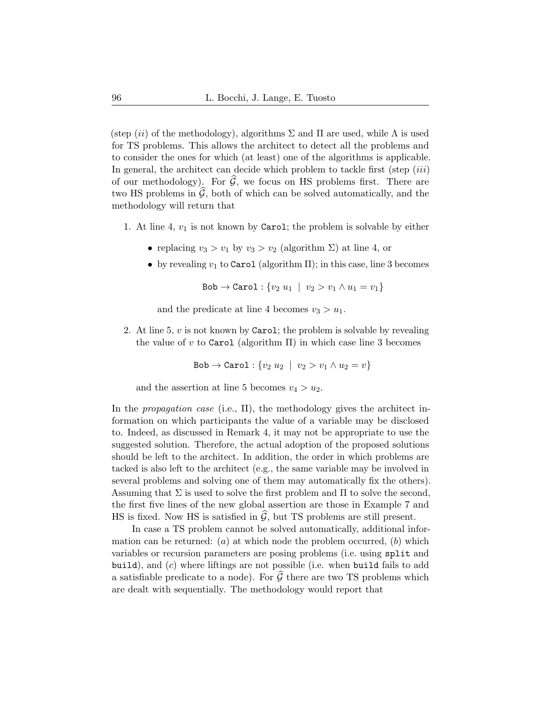(step (ii) of the methodology), algorithms  $\Sigma$  and  $\Pi$  are used, while  $\Lambda$  is used for TS problems. This allows the architect to detect all the problems and to consider the ones for which (at least) one of the algorithms is applicable. In general, the architect can decide which problem to tackle first (step  $(iii)$ ) of our methodology). For  $\widehat{G}$ , we focus on HS problems first. There are two HS problems in  $\widehat{\mathcal{G}}$ , both of which can be solved automatically, and the methodology will return that

- 1. At line 4,  $v_1$  is not known by Carol; the problem is solvable by either
	- replacing  $v_3 > v_1$  by  $v_3 > v_2$  (algorithm  $\Sigma$ ) at line 4, or
	- by revealing  $v_1$  to Carol (algorithm  $\Pi$ ); in this case, line 3 becomes

Bob  $\to$  Carol : { $v_2 u_1 | v_2 > v_1 \wedge u_1 = v_1$ }

and the predicate at line 4 becomes  $v_3 > u_1$ .

2. At line 5,  $v$  is not known by Carol; the problem is solvable by revealing the value of v to Carol (algorithm  $\Pi$ ) in which case line 3 becomes

$$
\mathtt{Bob} \rightarrow \mathtt{Carol}: \{v_2 \ u_2 \ \mid \ v_2 > v_1 \land u_2 = v\}
$$

and the assertion at line 5 becomes  $v_4 > u_2$ .

In the *propagation case* (i.e.,  $\Pi$ ), the methodology gives the architect information on which participants the value of a variable may be disclosed to. Indeed, as discussed in Remark [4,](#page-14-1) it may not be appropriate to use the suggested solution. Therefore, the actual adoption of the proposed solutions should be left to the architect. In addition, the order in which problems are tacked is also left to the architect (e.g., the same variable may be involved in several problems and solving one of them may automatically fix the others). Assuming that  $\Sigma$  is used to solve the first problem and  $\Pi$  to solve the second, the first five lines of the new global assertion are those in Example [7](#page-13-2) and HS is fixed. Now HS is satisfied in  $\mathcal{G}$ , but TS problems are still present.

In case a TS problem cannot be solved automatically, additional information can be returned:  $(a)$  at which node the problem occurred,  $(b)$  which variables or recursion parameters are posing problems (i.e. using split and build), and  $(c)$  where liftings are not possible (i.e. when build fails to add a satisfiable predicate to a node). For  $\hat{G}$  there are two TS problems which are dealt with sequentially. The methodology would report that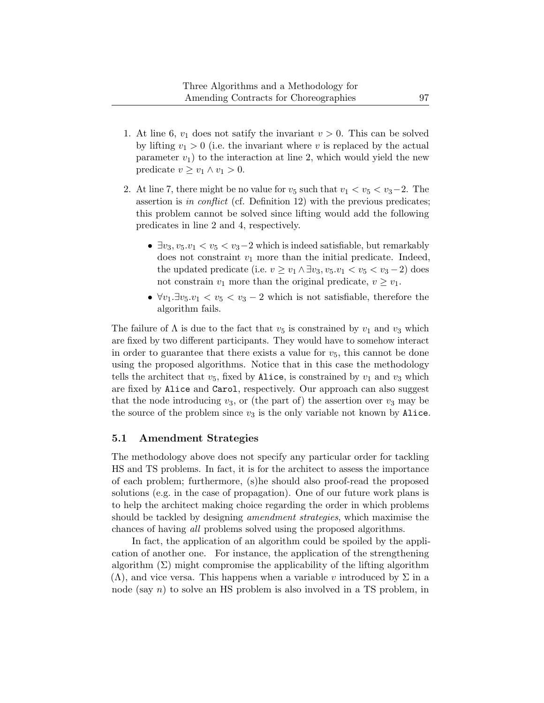- 1. At line 6,  $v_1$  does not satify the invariant  $v > 0$ . This can be solved by lifting  $v_1 > 0$  (i.e. the invariant where v is replaced by the actual parameter  $v_1$ ) to the interaction at line 2, which would yield the new predicate  $v \ge v_1 \wedge v_1 > 0$ .
- 2. At line 7, there might be no value for  $v_5$  such that  $v_1 < v_5 < v_3 2$ . The assertion is in conflict (cf. Definition [12\)](#page-23-0) with the previous predicates; this problem cannot be solved since lifting would add the following predicates in line 2 and 4, respectively.
	- $\exists v_3, v_5, v_1 < v_5 < v_3 2$  which is indeed satisfiable, but remarkably does not constraint  $v_1$  more than the initial predicate. Indeed, the updated predicate (i.e.  $v \ge v_1 \wedge \exists v_3, v_5 \cdot v_1 < v_5 < v_3 - 2$ ) does not constrain  $v_1$  more than the original predicate,  $v \geq v_1$ .
	- $\forall v_1 \exists v_5 \ldots v_1 < v_5 < v_3 2$  which is not satisfiable, therefore the algorithm fails.

The failure of  $\Lambda$  is due to the fact that  $v_5$  is constrained by  $v_1$  and  $v_3$  which are fixed by two different participants. They would have to somehow interact in order to guarantee that there exists a value for  $v_5$ , this cannot be done using the proposed algorithms. Notice that in this case the methodology tells the architect that  $v_5$ , fixed by Alice, is constrained by  $v_1$  and  $v_3$  which are fixed by Alice and Carol, respectively. Our approach can also suggest that the node introducing  $v_3$ , or (the part of) the assertion over  $v_3$  may be the source of the problem since  $v_3$  is the only variable not known by Alice.

### <span id="page-36-0"></span>5.1 Amendment Strategies

The methodology above does not specify any particular order for tackling HS and TS problems. In fact, it is for the architect to assess the importance of each problem; furthermore, (s)he should also proof-read the proposed solutions (e.g. in the case of propagation). One of our future work plans is to help the architect making choice regarding the order in which problems should be tackled by designing amendment strategies, which maximise the chances of having all problems solved using the proposed algorithms.

In fact, the application of an algorithm could be spoiled by the application of another one. For instance, the application of the strengthening algorithm  $(\Sigma)$  might compromise the applicability of the lifting algorithm  $(\Lambda)$ , and vice versa. This happens when a variable v introduced by  $\Sigma$  in a node (say  $n$ ) to solve an HS problem is also involved in a TS problem, in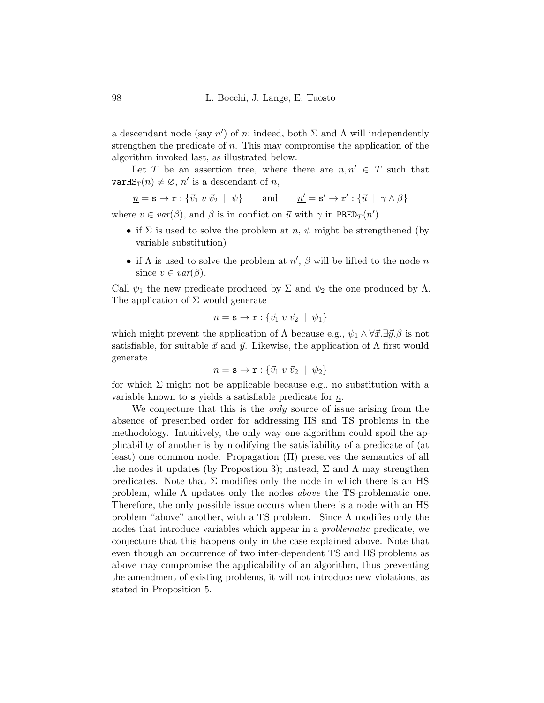a descendant node (say  $n'$ ) of n; indeed, both  $\Sigma$  and  $\Lambda$  will independently strengthen the predicate of n. This may compromise the application of the algorithm invoked last, as illustrated below.

Let T be an assertion tree, where there are  $n, n' \in T$  such that  $\text{varHS}_{\text{T}}(n) \neq \emptyset$ , n' is a descendant of n,

$$
\underline{n}=\mathbf{s}\rightarrow \mathbf{r}:\{\vec{v}_1\ v\ \vec{v}_2\ |\ \psi\} \qquad \text{and} \qquad \underline{n'}=\mathbf{s'}\rightarrow \mathbf{r'}:\{\vec{u}\ |\ \gamma\wedge\beta\}
$$

where  $v \in var(\beta)$ , and  $\beta$  is in conflict on  $\vec{u}$  with  $\gamma$  in PRED<sub>T</sub> $(n')$ .

- if  $\Sigma$  is used to solve the problem at n,  $\psi$  might be strengthened (by variable substitution)
- if  $\Lambda$  is used to solve the problem at  $n'$ ,  $\beta$  will be lifted to the node n since  $v \in var(\beta)$ .

Call  $\psi_1$  the new predicate produced by  $\Sigma$  and  $\psi_2$  the one produced by  $\Lambda$ . The application of  $\Sigma$  would generate

$$
\underline{n} = \mathbf{s} \to \mathbf{r} : \{ \vec{v}_1 \ v \ \vec{v}_2 \ | \ \psi_1 \}
$$

which might prevent the application of  $\Lambda$  because e.g.,  $\psi_1 \wedge \forall \vec{x}. \exists \vec{y}. \beta$  is not satisfiable, for suitable  $\vec{x}$  and  $\vec{y}$ . Likewise, the application of  $\Lambda$  first would generate

$$
\underline{n} = \mathbf{s} \to \mathbf{r} : \{ \vec{v}_1 \ v \ \vec{v}_2 \mid \ \psi_2 \}
$$

for which  $\Sigma$  might not be applicable because e.g., no substitution with a variable known to s yields a satisfiable predicate for  $\underline{n}$ .

We conjecture that this is the *only* source of issue arising from the absence of prescribed order for addressing HS and TS problems in the methodology. Intuitively, the only way one algorithm could spoil the applicability of another is by modifying the satisfiability of a predicate of (at least) one common node. Propagation (Π) preserves the semantics of all the nodes it updates (by Propostion [3\)](#page-19-4); instead,  $\Sigma$  and  $\Lambda$  may strengthen predicates. Note that  $\Sigma$  modifies only the node in which there is an HS problem, while  $\Lambda$  updates only the nodes *above* the TS-problematic one. Therefore, the only possible issue occurs when there is a node with an HS problem "above" another, with a TS problem. Since  $\Lambda$  modifies only the nodes that introduce variables which appear in a problematic predicate, we conjecture that this happens only in the case explained above. Note that even though an occurrence of two inter-dependent TS and HS problems as above may compromise the applicability of an algorithm, thus preventing the amendment of existing problems, it will not introduce new violations, as stated in Proposition [5.](#page-29-1)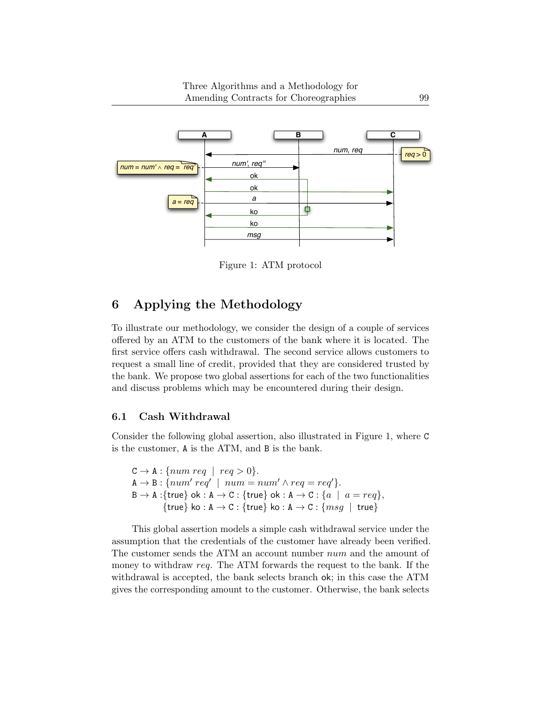

<span id="page-38-1"></span>Figure 1: ATM protocol

## <span id="page-38-0"></span>6 Applying the Methodology

To illustrate our methodology, we consider the design of a couple of services offered by an ATM to the customers of the bank where it is located. The first service offers cash withdrawal. The second service allows customers to request a small line of credit, provided that they are considered trusted by the bank. We propose two global assertions for each of the two functionalities and discuss problems which may be encountered during their design.

### 6.1 Cash Withdrawal

Consider the following global assertion, also illustrated in Figure [1,](#page-38-1) where C is the customer, A is the ATM, and B is the bank.

 $C \rightarrow A : \{num \; req \; \mid \; req > 0\}.$  $A \rightarrow B$ : { $num'$  req' |  $num = num' \land req = req'$ }.  $B \to A :$ {true} ok : A  $\to C :$  {true} ok : A  $\to C :$  {a | a = req}, {true} ko : A  $\rightarrow$  C : {true} ko : A  $\rightarrow$  C : { $msg \mid$  true}

This global assertion models a simple cash withdrawal service under the assumption that the credentials of the customer have already been verified. The customer sends the ATM an account number num and the amount of money to withdraw req. The ATM forwards the request to the bank. If the withdrawal is accepted, the bank selects branch ok; in this case the ATM gives the corresponding amount to the customer. Otherwise, the bank selects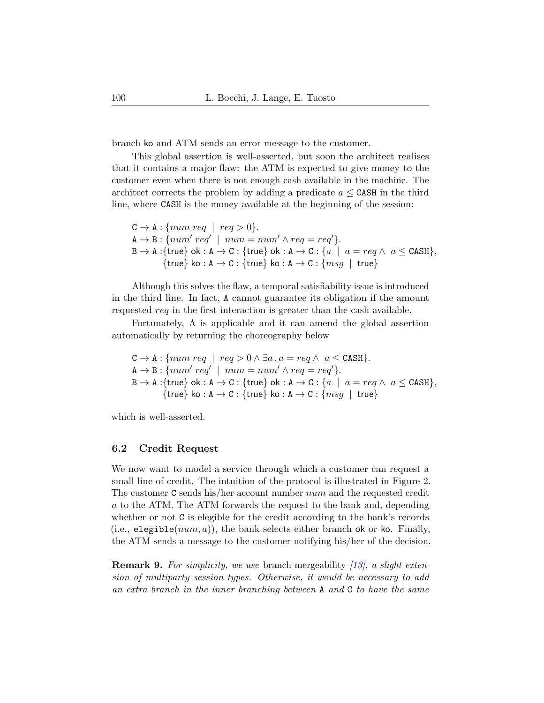branch ko and ATM sends an error message to the customer.

This global assertion is well-asserted, but soon the architect realises that it contains a major flaw: the ATM is expected to give money to the customer even when there is not enough cash available in the machine. The architect corrects the problem by adding a predicate  $a \leq \texttt{CASH}$  in the third line, where CASH is the money available at the beginning of the session:

```
C \rightarrow A : \{num \, reg \mid \, reg > 0\}.A \rightarrow B : \{num' \: req' \mid num = num' \land req = req'\}.B \to A: {true} ok : A \to C: {true} ok : A \to C: {a \mid a = req \land a \leq CASH},
          {true} ko : A \rightarrow C : {true} ko : A \rightarrow C : {msg \mid true}
```
Although this solves the flaw, a temporal satisfiability issue is introduced in the third line. In fact, A cannot guarantee its obligation if the amount requested req in the first interaction is greater than the cash available.

Fortunately,  $\Lambda$  is applicable and it can amend the global assertion automatically by returning the choreography below

$$
C \rightarrow A : \{num \text{ } req \mid \text{ } req > 0 \land \exists a \text{ } . a = req \land \text{ } a \leq \text{CASH} \}.
$$
\n
$$
A \rightarrow B : \{num' \text{ } req' \mid \text{ } num = num' \land \text{ } req = \text{ } req'\}.
$$
\n
$$
B \rightarrow A : \{true\} \text{ } ok : A \rightarrow C : \{true\} \text{ } ok : A \rightarrow C : \{a \mid a = \text{ } req \land \text{ } a \leq \text{CASH} \}, \{true\} \text{ } ko : A \rightarrow C : \{true\} \text{ } ko : A \rightarrow C : \{msg \mid \text{ } true\}
$$

which is well-asserted.

### 6.2 Credit Request

We now want to model a service through which a customer can request a small line of credit. The intuition of the protocol is illustrated in Figure 2. The customer C sends his/her account number num and the requested credit a to the ATM. The ATM forwards the request to the bank and, depending whether or not C is elegible for the credit according to the bank's records (i.e., elegible( $num, a$ )), the bank selects either branch ok or ko. Finally, the ATM sends a message to the customer notifying his/her of the decision.

**Remark 9.** For simplicity, we use branch mergeability  $(13)$ , a slight extension of multiparty session types. Otherwise, it would be necessary to add an extra branch in the inner branching between A and C to have the same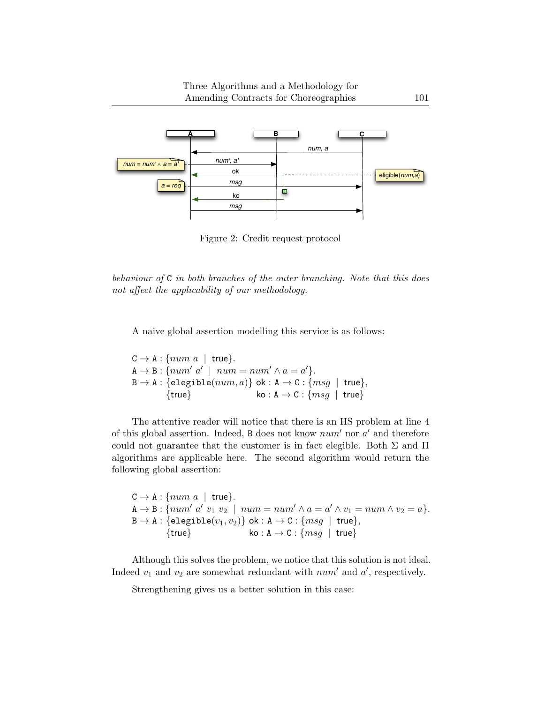

Figure 2: Credit request protocol

behaviour of C in both branches of the outer branching. Note that this does not affect the applicability of our methodology.

A naive global assertion modelling this service is as follows:

 $C \rightarrow A : \{num \ a \mid true\}.$  $A \rightarrow B$ : { $num' a' \mid num = num' \land a = a'$ }.  $B \to A : \{ \text{elegible}(num, a) \} \text{ ok} : A \to C : \{ msg \mid true \}, \{ true \} \text{ ko} : A \to C : \{ msg \mid true \}$  $k_0 : A \rightarrow C : \{msg \mid true\}$ 

The attentive reader will notice that there is an HS problem at line 4 of this global assertion. Indeed,  $B$  does not know  $num'$  nor  $a'$  and therefore could not guarantee that the customer is in fact elegible. Both  $\Sigma$  and  $\Pi$ algorithms are applicable here. The second algorithm would return the following global assertion:

```
C \rightarrow A : \{num \ a \mid true\}.A \rightarrow B: {num' a' v_1 v_2 \mid num = num' \wedge a = a' \wedge v_1 = num \wedge v_2 = a }.
B \rightarrow A : \{ \text{elegible}(v_1, v_2) \} \text{ ok} : A \rightarrow C : \{ msg \mid true \}, \{ true \} \text{ ko} : A \rightarrow C : \{ msg \mid true \}k_0 : A \rightarrow C : \{msg \mid true\}
```
Although this solves the problem, we notice that this solution is not ideal. Indeed  $v_1$  and  $v_2$  are somewhat redundant with  $num'$  and  $a'$ , respectively.

Strengthening gives us a better solution in this case: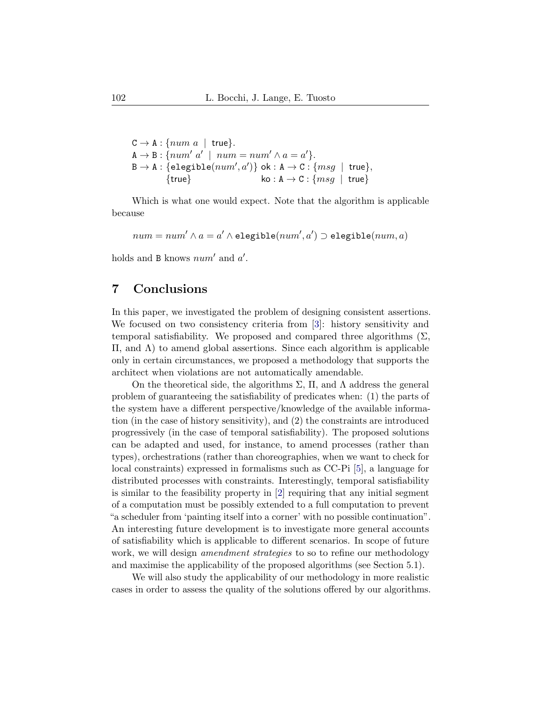$C \rightarrow A : \{num \ a \mid true\}.$  $A \rightarrow B$ : { $num' a' \mid num = num' \land a = a'$ }.  $\mathtt{B}\to\mathtt{A}:\{\mathtt{elegible}(num',a')\} \text{ ok}: \mathtt{A}\to \mathtt{C}: \{msg\enspace|\enspace \mathtt{true}\},$ {true}  $\{k \in A \rightarrow C : \{ msg \mid true\}$ 

Which is what one would expect. Note that the algorithm is applicable because

 $num = num' \land a = a' \land \texttt{elegible}(num', a') \supset \texttt{elegible}(num, a)$ 

holds and B knows  $num'$  and  $a'$ .

## <span id="page-41-0"></span>7 Conclusions

In this paper, we investigated the problem of designing consistent assertions. We focused on two consistency criteria from [\[3\]](#page-42-2): history sensitivity and temporal satisfiability. We proposed and compared three algorithms  $(\Sigma,$ Π, and Λ) to amend global assertions. Since each algorithm is applicable only in certain circumstances, we proposed a methodology that supports the architect when violations are not automatically amendable.

On the theoretical side, the algorithms  $\Sigma$ ,  $\Pi$ , and  $\Lambda$  address the general problem of guaranteeing the satisfiability of predicates when: (1) the parts of the system have a different perspective/knowledge of the available information (in the case of history sensitivity), and (2) the constraints are introduced progressively (in the case of temporal satisfiability). The proposed solutions can be adapted and used, for instance, to amend processes (rather than types), orchestrations (rather than choreographies, when we want to check for local constraints) expressed in formalisms such as CC-Pi [\[5\]](#page-42-7), a language for distributed processes with constraints. Interestingly, temporal satisfiability is similar to the feasibility property in [\[2\]](#page-42-8) requiring that any initial segment of a computation must be possibly extended to a full computation to prevent "a scheduler from 'painting itself into a corner' with no possible continuation". An interesting future development is to investigate more general accounts of satisfiability which is applicable to different scenarios. In scope of future work, we will design *amendment strategies* to so to refine our methodology and maximise the applicability of the proposed algorithms (see Section [5.1\)](#page-36-0).

We will also study the applicability of our methodology in more realistic cases in order to assess the quality of the solutions offered by our algorithms.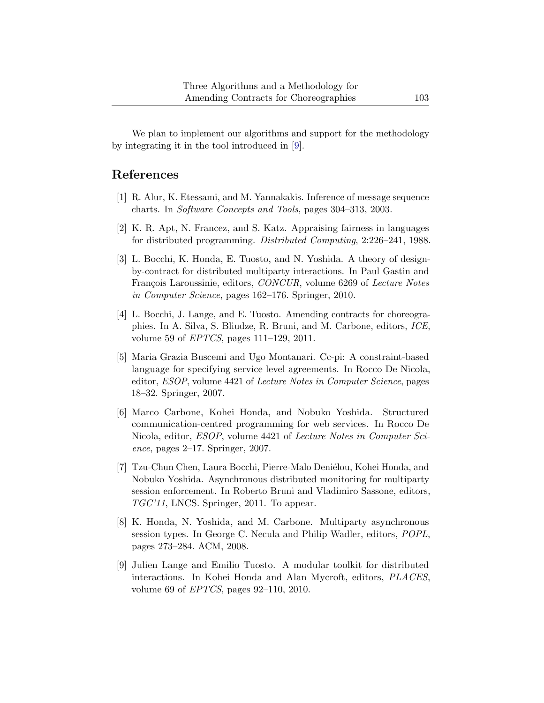We plan to implement our algorithms and support for the methodology by integrating it in the tool introduced in [\[9\]](#page-42-5).

## References

- <span id="page-42-0"></span>[1] R. Alur, K. Etessami, and M. Yannakakis. Inference of message sequence charts. In Software Concepts and Tools, pages 304–313, 2003.
- <span id="page-42-8"></span>[2] K. R. Apt, N. Francez, and S. Katz. Appraising fairness in languages for distributed programming. Distributed Computing, 2:226–241, 1988.
- <span id="page-42-2"></span>[3] L. Bocchi, K. Honda, E. Tuosto, and N. Yoshida. A theory of designby-contract for distributed multiparty interactions. In Paul Gastin and François Laroussinie, editors, CONCUR, volume 6269 of Lecture Notes in Computer Science, pages 162–176. Springer, 2010.
- <span id="page-42-6"></span>[4] L. Bocchi, J. Lange, and E. Tuosto. Amending contracts for choreographies. In A. Silva, S. Bliudze, R. Bruni, and M. Carbone, editors, ICE, volume 59 of EPTCS, pages 111–129, 2011.
- <span id="page-42-7"></span>[5] Maria Grazia Buscemi and Ugo Montanari. Cc-pi: A constraint-based language for specifying service level agreements. In Rocco De Nicola, editor, ESOP, volume 4421 of Lecture Notes in Computer Science, pages 18–32. Springer, 2007.
- <span id="page-42-3"></span>[6] Marco Carbone, Kohei Honda, and Nobuko Yoshida. Structured communication-centred programming for web services. In Rocco De Nicola, editor, ESOP, volume 4421 of Lecture Notes in Computer Science, pages 2–17. Springer, 2007.
- <span id="page-42-4"></span>[7] Tzu-Chun Chen, Laura Bocchi, Pierre-Malo Deniélou, Kohei Honda, and Nobuko Yoshida. Asynchronous distributed monitoring for multiparty session enforcement. In Roberto Bruni and Vladimiro Sassone, editors, TGC'11, LNCS. Springer, 2011. To appear.
- <span id="page-42-1"></span>[8] K. Honda, N. Yoshida, and M. Carbone. Multiparty asynchronous session types. In George C. Necula and Philip Wadler, editors, POPL, pages 273–284. ACM, 2008.
- <span id="page-42-5"></span>[9] Julien Lange and Emilio Tuosto. A modular toolkit for distributed interactions. In Kohei Honda and Alan Mycroft, editors, PLACES, volume 69 of EPTCS, pages 92–110, 2010.